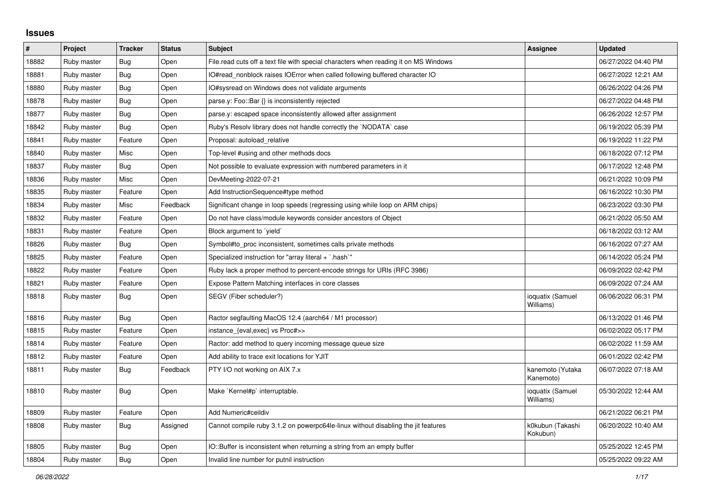## **Issues**

| $\pmb{\#}$ | Project     | <b>Tracker</b> | <b>Status</b> | <b>Subject</b>                                                                       | <b>Assignee</b>               | <b>Updated</b>      |
|------------|-------------|----------------|---------------|--------------------------------------------------------------------------------------|-------------------------------|---------------------|
| 18882      | Ruby master | Bug            | Open          | File read cuts off a text file with special characters when reading it on MS Windows |                               | 06/27/2022 04:40 PM |
| 18881      | Ruby master | Bug            | Open          | IO#read_nonblock raises IOError when called following buffered character IO          |                               | 06/27/2022 12:21 AM |
| 18880      | Ruby master | Bug            | Open          | IO#sysread on Windows does not validate arguments                                    |                               | 06/26/2022 04:26 PM |
| 18878      | Ruby master | <b>Bug</b>     | Open          | parse.y: Foo::Bar {} is inconsistently rejected                                      |                               | 06/27/2022 04:48 PM |
| 18877      | Ruby master | Bug            | Open          | parse.y: escaped space inconsistently allowed after assignment                       |                               | 06/26/2022 12:57 PM |
| 18842      | Ruby master | Bug            | Open          | Ruby's Resolv library does not handle correctly the `NODATA` case                    |                               | 06/19/2022 05:39 PM |
| 18841      | Ruby master | Feature        | Open          | Proposal: autoload relative                                                          |                               | 06/19/2022 11:22 PM |
| 18840      | Ruby master | Misc           | Open          | Top-level #using and other methods docs                                              |                               | 06/18/2022 07:12 PM |
| 18837      | Ruby master | Bug            | Open          | Not possible to evaluate expression with numbered parameters in it                   |                               | 06/17/2022 12:48 PM |
| 18836      | Ruby master | Misc           | Open          | DevMeeting-2022-07-21                                                                |                               | 06/21/2022 10:09 PM |
| 18835      | Ruby master | Feature        | Open          | Add InstructionSequence#type method                                                  |                               | 06/16/2022 10:30 PM |
| 18834      | Ruby master | Misc           | Feedback      | Significant change in loop speeds (regressing using while loop on ARM chips)         |                               | 06/23/2022 03:30 PM |
| 18832      | Ruby master | Feature        | Open          | Do not have class/module keywords consider ancestors of Object                       |                               | 06/21/2022 05:50 AM |
| 18831      | Ruby master | Feature        | Open          | Block argument to `yield`                                                            |                               | 06/18/2022 03:12 AM |
| 18826      | Ruby master | Bug            | Open          | Symbol#to_proc inconsistent, sometimes calls private methods                         |                               | 06/16/2022 07:27 AM |
| 18825      | Ruby master | Feature        | Open          | Specialized instruction for "array literal $+$ `.hash`"                              |                               | 06/14/2022 05:24 PM |
| 18822      | Ruby master | Feature        | Open          | Ruby lack a proper method to percent-encode strings for URIs (RFC 3986)              |                               | 06/09/2022 02:42 PM |
| 18821      | Ruby master | Feature        | Open          | Expose Pattern Matching interfaces in core classes                                   |                               | 06/09/2022 07:24 AM |
| 18818      | Ruby master | <b>Bug</b>     | Open          | SEGV (Fiber scheduler?)                                                              | ioquatix (Samuel<br>Williams) | 06/06/2022 06:31 PM |
| 18816      | Ruby master | <b>Bug</b>     | Open          | Ractor segfaulting MacOS 12.4 (aarch64 / M1 processor)                               |                               | 06/13/2022 01:46 PM |
| 18815      | Ruby master | Feature        | Open          | instance_{eval,exec} vs Proc#>>                                                      |                               | 06/02/2022 05:17 PM |
| 18814      | Ruby master | Feature        | Open          | Ractor: add method to query incoming message queue size                              |                               | 06/02/2022 11:59 AM |
| 18812      | Ruby master | Feature        | Open          | Add ability to trace exit locations for YJIT                                         |                               | 06/01/2022 02:42 PM |
| 18811      | Ruby master | <b>Bug</b>     | Feedback      | PTY I/O not working on AIX 7.x                                                       | kanemoto (Yutaka<br>Kanemoto) | 06/07/2022 07:18 AM |
| 18810      | Ruby master | <b>Bug</b>     | Open          | Make `Kernel#p` interruptable.                                                       | ioquatix (Samuel<br>Williams) | 05/30/2022 12:44 AM |
| 18809      | Ruby master | Feature        | Open          | Add Numeric#ceildiv                                                                  |                               | 06/21/2022 06:21 PM |
| 18808      | Ruby master | <b>Bug</b>     | Assigned      | Cannot compile ruby 3.1.2 on powerpc64le-linux without disabling the jit features    | k0kubun (Takashi<br>Kokubun)  | 06/20/2022 10:40 AM |
| 18805      | Ruby master | <b>Bug</b>     | Open          | IO::Buffer is inconsistent when returning a string from an empty buffer              |                               | 05/25/2022 12:45 PM |
| 18804      | Ruby master | Bug            | Open          | Invalid line number for putnil instruction                                           |                               | 05/25/2022 09:22 AM |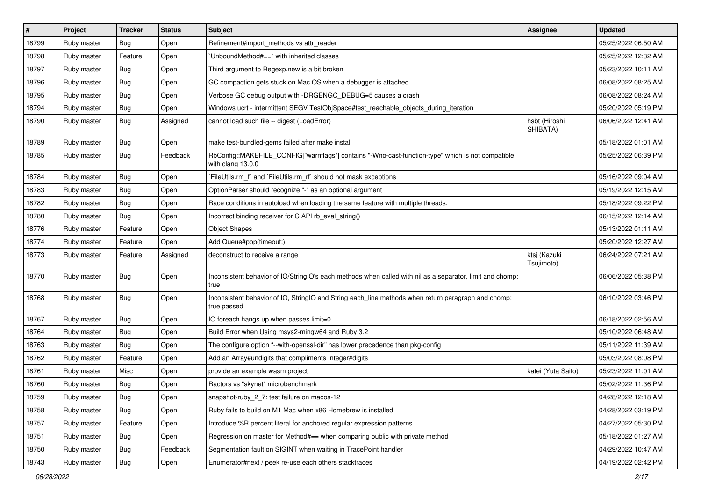| #     | Project     | <b>Tracker</b> | <b>Status</b> | <b>Subject</b>                                                                                                         | Assignee                   | <b>Updated</b>      |
|-------|-------------|----------------|---------------|------------------------------------------------------------------------------------------------------------------------|----------------------------|---------------------|
| 18799 | Ruby master | Bug            | Open          | Refinement#import_methods vs attr_reader                                                                               |                            | 05/25/2022 06:50 AM |
| 18798 | Ruby master | Feature        | Open          | 'UnboundMethod#==' with inherited classes                                                                              |                            | 05/25/2022 12:32 AM |
| 18797 | Ruby master | <b>Bug</b>     | Open          | Third argument to Regexp.new is a bit broken                                                                           |                            | 05/23/2022 10:11 AM |
| 18796 | Ruby master | Bug            | Open          | GC compaction gets stuck on Mac OS when a debugger is attached                                                         |                            | 06/08/2022 08:25 AM |
| 18795 | Ruby master | Bug            | Open          | Verbose GC debug output with -DRGENGC_DEBUG=5 causes a crash                                                           |                            | 06/08/2022 08:24 AM |
| 18794 | Ruby master | <b>Bug</b>     | Open          | Windows ucrt - intermittent SEGV TestObjSpace#test_reachable_objects_during_iteration                                  |                            | 05/20/2022 05:19 PM |
| 18790 | Ruby master | Bug            | Assigned      | cannot load such file -- digest (LoadError)                                                                            | hsbt (Hiroshi<br>SHIBATA)  | 06/06/2022 12:41 AM |
| 18789 | Ruby master | Bug            | Open          | make test-bundled-gems failed after make install                                                                       |                            | 05/18/2022 01:01 AM |
| 18785 | Ruby master | Bug            | Feedback      | RbConfig::MAKEFILE_CONFIG["warnflags"] contains "-Wno-cast-function-type" which is not compatible<br>with clang 13.0.0 |                            | 05/25/2022 06:39 PM |
| 18784 | Ruby master | Bug            | Open          | FileUtils.rm_f` and `FileUtils.rm_rf` should not mask exceptions                                                       |                            | 05/16/2022 09:04 AM |
| 18783 | Ruby master | <b>Bug</b>     | Open          | OptionParser should recognize "-" as an optional argument                                                              |                            | 05/19/2022 12:15 AM |
| 18782 | Ruby master | Bug            | Open          | Race conditions in autoload when loading the same feature with multiple threads.                                       |                            | 05/18/2022 09:22 PM |
| 18780 | Ruby master | Bug            | Open          | Incorrect binding receiver for C API rb_eval_string()                                                                  |                            | 06/15/2022 12:14 AM |
| 18776 | Ruby master | Feature        | Open          | <b>Object Shapes</b>                                                                                                   |                            | 05/13/2022 01:11 AM |
| 18774 | Ruby master | Feature        | Open          | Add Queue#pop(timeout:)                                                                                                |                            | 05/20/2022 12:27 AM |
| 18773 | Ruby master | Feature        | Assigned      | deconstruct to receive a range                                                                                         | ktsj (Kazuki<br>Tsujimoto) | 06/24/2022 07:21 AM |
| 18770 | Ruby master | Bug            | Open          | Inconsistent behavior of IO/StringIO's each methods when called with nil as a separator, limit and chomp:<br>true      |                            | 06/06/2022 05:38 PM |
| 18768 | Ruby master | <b>Bug</b>     | Open          | Inconsistent behavior of IO, StringIO and String each_line methods when return paragraph and chomp:<br>true passed     |                            | 06/10/2022 03:46 PM |
| 18767 | Ruby master | Bug            | Open          | IO.foreach hangs up when passes limit=0                                                                                |                            | 06/18/2022 02:56 AM |
| 18764 | Ruby master | Bug            | Open          | Build Error when Using msys2-mingw64 and Ruby 3.2                                                                      |                            | 05/10/2022 06:48 AM |
| 18763 | Ruby master | Bug            | Open          | The configure option "--with-openssl-dir" has lower precedence than pkg-config                                         |                            | 05/11/2022 11:39 AM |
| 18762 | Ruby master | Feature        | Open          | Add an Array#undigits that compliments Integer#digits                                                                  |                            | 05/03/2022 08:08 PM |
| 18761 | Ruby master | Misc           | Open          | provide an example wasm project                                                                                        | katei (Yuta Saito)         | 05/23/2022 11:01 AM |
| 18760 | Ruby master | Bug            | Open          | Ractors vs "skynet" microbenchmark                                                                                     |                            | 05/02/2022 11:36 PM |
| 18759 | Ruby master | Bug            | Open          | snapshot-ruby 2 7: test failure on macos-12                                                                            |                            | 04/28/2022 12:18 AM |
| 18758 | Ruby master | <b>Bug</b>     | Open          | Ruby fails to build on M1 Mac when x86 Homebrew is installed                                                           |                            | 04/28/2022 03:19 PM |
| 18757 | Ruby master | Feature        | Open          | Introduce %R percent literal for anchored regular expression patterns                                                  |                            | 04/27/2022 05:30 PM |
| 18751 | Ruby master | <b>Bug</b>     | Open          | Regression on master for Method#== when comparing public with private method                                           |                            | 05/18/2022 01:27 AM |
| 18750 | Ruby master | Bug            | Feedback      | Segmentation fault on SIGINT when waiting in TracePoint handler                                                        |                            | 04/29/2022 10:47 AM |
| 18743 | Ruby master | <b>Bug</b>     | Open          | Enumerator#next / peek re-use each others stacktraces                                                                  |                            | 04/19/2022 02:42 PM |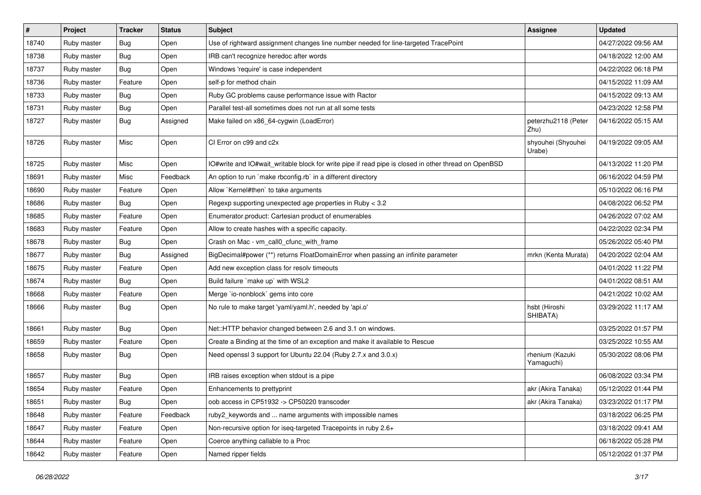| $\vert$ # | Project     | <b>Tracker</b> | <b>Status</b> | <b>Subject</b>                                                                                       | Assignee                      | <b>Updated</b>      |
|-----------|-------------|----------------|---------------|------------------------------------------------------------------------------------------------------|-------------------------------|---------------------|
| 18740     | Ruby master | Bug            | Open          | Use of rightward assignment changes line number needed for line-targeted TracePoint                  |                               | 04/27/2022 09:56 AM |
| 18738     | Ruby master | Bug            | Open          | IRB can't recognize heredoc after words                                                              |                               | 04/18/2022 12:00 AM |
| 18737     | Ruby master | <b>Bug</b>     | Open          | Windows 'require' is case independent                                                                |                               | 04/22/2022 06:18 PM |
| 18736     | Ruby master | Feature        | Open          | self-p for method chain                                                                              |                               | 04/15/2022 11:09 AM |
| 18733     | Ruby master | <b>Bug</b>     | Open          | Ruby GC problems cause performance issue with Ractor                                                 |                               | 04/15/2022 09:13 AM |
| 18731     | Ruby master | Bug            | Open          | Parallel test-all sometimes does not run at all some tests                                           |                               | 04/23/2022 12:58 PM |
| 18727     | Ruby master | <b>Bug</b>     | Assigned      | Make failed on x86_64-cygwin (LoadError)                                                             | peterzhu2118 (Peter<br>Zhu)   | 04/16/2022 05:15 AM |
| 18726     | Ruby master | Misc           | Open          | CI Error on c99 and c2x                                                                              | shyouhei (Shyouhei<br>Urabe)  | 04/19/2022 09:05 AM |
| 18725     | Ruby master | Misc           | Open          | IO#write and IO#wait_writable block for write pipe if read pipe is closed in other thread on OpenBSD |                               | 04/13/2022 11:20 PM |
| 18691     | Ruby master | Misc           | Feedback      | An option to run `make rbconfig.rb` in a different directory                                         |                               | 06/16/2022 04:59 PM |
| 18690     | Ruby master | Feature        | Open          | Allow `Kernel#then` to take arguments                                                                |                               | 05/10/2022 06:16 PM |
| 18686     | Ruby master | <b>Bug</b>     | Open          | Regexp supporting unexpected age properties in Ruby < 3.2                                            |                               | 04/08/2022 06:52 PM |
| 18685     | Ruby master | Feature        | Open          | Enumerator.product: Cartesian product of enumerables                                                 |                               | 04/26/2022 07:02 AM |
| 18683     | Ruby master | Feature        | Open          | Allow to create hashes with a specific capacity.                                                     |                               | 04/22/2022 02:34 PM |
| 18678     | Ruby master | <b>Bug</b>     | Open          | Crash on Mac - vm_call0_cfunc_with_frame                                                             |                               | 05/26/2022 05:40 PM |
| 18677     | Ruby master | Bug            | Assigned      | BigDecimal#power (**) returns FloatDomainError when passing an infinite parameter                    | mrkn (Kenta Murata)           | 04/20/2022 02:04 AM |
| 18675     | Ruby master | Feature        | Open          | Add new exception class for resolv timeouts                                                          |                               | 04/01/2022 11:22 PM |
| 18674     | Ruby master | Bug            | Open          | Build failure `make up` with WSL2                                                                    |                               | 04/01/2022 08:51 AM |
| 18668     | Ruby master | Feature        | Open          | Merge `io-nonblock` gems into core                                                                   |                               | 04/21/2022 10:02 AM |
| 18666     | Ruby master | <b>Bug</b>     | Open          | No rule to make target 'yaml/yaml.h', needed by 'api.o'                                              | hsbt (Hiroshi<br>SHIBATA)     | 03/29/2022 11:17 AM |
| 18661     | Ruby master | Bug            | Open          | Net::HTTP behavior changed between 2.6 and 3.1 on windows.                                           |                               | 03/25/2022 01:57 PM |
| 18659     | Ruby master | Feature        | Open          | Create a Binding at the time of an exception and make it available to Rescue                         |                               | 03/25/2022 10:55 AM |
| 18658     | Ruby master | <b>Bug</b>     | Open          | Need openssl 3 support for Ubuntu 22.04 (Ruby 2.7.x and 3.0.x)                                       | rhenium (Kazuki<br>Yamaguchi) | 05/30/2022 08:06 PM |
| 18657     | Ruby master | Bug            | Open          | IRB raises exception when stdout is a pipe                                                           |                               | 06/08/2022 03:34 PM |
| 18654     | Ruby master | Feature        | Open          | Enhancements to prettyprint                                                                          | akr (Akira Tanaka)            | 05/12/2022 01:44 PM |
| 18651     | Ruby master | <b>Bug</b>     | Open          | oob access in CP51932 -> CP50220 transcoder                                                          | akr (Akira Tanaka)            | 03/23/2022 01:17 PM |
| 18648     | Ruby master | Feature        | Feedback      | ruby2_keywords and  name arguments with impossible names                                             |                               | 03/18/2022 06:25 PM |
| 18647     | Ruby master | Feature        | Open          | Non-recursive option for iseq-targeted Tracepoints in ruby 2.6+                                      |                               | 03/18/2022 09:41 AM |
| 18644     | Ruby master | Feature        | Open          | Coerce anything callable to a Proc                                                                   |                               | 06/18/2022 05:28 PM |
| 18642     | Ruby master | Feature        | Open          | Named ripper fields                                                                                  |                               | 05/12/2022 01:37 PM |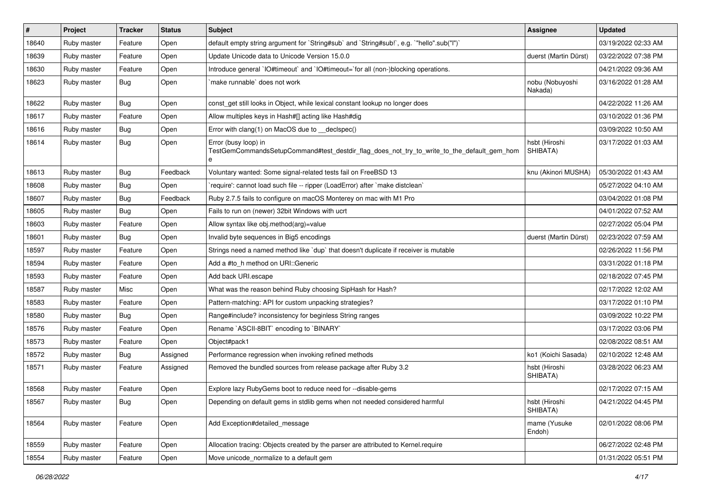| #     | Project     | <b>Tracker</b> | <b>Status</b> | <b>Subject</b>                                                                                                          | <b>Assignee</b>            | <b>Updated</b>      |
|-------|-------------|----------------|---------------|-------------------------------------------------------------------------------------------------------------------------|----------------------------|---------------------|
| 18640 | Ruby master | Feature        | Open          | default empty string argument for `String#sub` and `String#sub!`, e.g. `"hello".sub("I")`                               |                            | 03/19/2022 02:33 AM |
| 18639 | Ruby master | Feature        | Open          | Update Unicode data to Unicode Version 15.0.0                                                                           | duerst (Martin Dürst)      | 03/22/2022 07:38 PM |
| 18630 | Ruby master | Feature        | Open          | Introduce general `IO#timeout` and `IO#timeout=`for all (non-)blocking operations.                                      |                            | 04/21/2022 09:36 AM |
| 18623 | Ruby master | <b>Bug</b>     | Open          | make runnable' does not work                                                                                            | nobu (Nobuyoshi<br>Nakada) | 03/16/2022 01:28 AM |
| 18622 | Ruby master | Bug            | Open          | const get still looks in Object, while lexical constant lookup no longer does                                           |                            | 04/22/2022 11:26 AM |
| 18617 | Ruby master | Feature        | Open          | Allow multiples keys in Hash#[] acting like Hash#dig                                                                    |                            | 03/10/2022 01:36 PM |
| 18616 | Ruby master | Bug            | Open          | Error with clang(1) on MacOS due to _declspec()                                                                         |                            | 03/09/2022 10:50 AM |
| 18614 | Ruby master | Bug            | Open          | Error (busy loop) in<br>TestGemCommandsSetupCommand#test_destdir_flag_does_not_try_to_write_to_the_default_gem_hom<br>e | hsbt (Hiroshi<br>SHIBATA)  | 03/17/2022 01:03 AM |
| 18613 | Ruby master | Bug            | Feedback      | Voluntary wanted: Some signal-related tests fail on FreeBSD 13                                                          | knu (Akinori MUSHA)        | 05/30/2022 01:43 AM |
| 18608 | Ruby master | <b>Bug</b>     | Open          | 'require': cannot load such file -- ripper (LoadError) after 'make distclean'                                           |                            | 05/27/2022 04:10 AM |
| 18607 | Ruby master | Bug            | Feedback      | Ruby 2.7.5 fails to configure on macOS Monterey on mac with M1 Pro                                                      |                            | 03/04/2022 01:08 PM |
| 18605 | Ruby master | <b>Bug</b>     | Open          | Fails to run on (newer) 32bit Windows with ucrt                                                                         |                            | 04/01/2022 07:52 AM |
| 18603 | Ruby master | Feature        | Open          | Allow syntax like obj.method(arg)=value                                                                                 |                            | 02/27/2022 05:04 PM |
| 18601 | Ruby master | <b>Bug</b>     | Open          | Invalid byte sequences in Big5 encodings                                                                                | duerst (Martin Dürst)      | 02/23/2022 07:59 AM |
| 18597 | Ruby master | Feature        | Open          | Strings need a named method like 'dup' that doesn't duplicate if receiver is mutable                                    |                            | 02/26/2022 11:56 PM |
| 18594 | Ruby master | Feature        | Open          | Add a #to h method on URI:: Generic                                                                                     |                            | 03/31/2022 01:18 PM |
| 18593 | Ruby master | Feature        | Open          | Add back URI.escape                                                                                                     |                            | 02/18/2022 07:45 PM |
| 18587 | Ruby master | Misc           | Open          | What was the reason behind Ruby choosing SipHash for Hash?                                                              |                            | 02/17/2022 12:02 AM |
| 18583 | Ruby master | Feature        | Open          | Pattern-matching: API for custom unpacking strategies?                                                                  |                            | 03/17/2022 01:10 PM |
| 18580 | Ruby master | <b>Bug</b>     | Open          | Range#include? inconsistency for beginless String ranges                                                                |                            | 03/09/2022 10:22 PM |
| 18576 | Ruby master | Feature        | Open          | Rename `ASCII-8BIT` encoding to `BINARY`                                                                                |                            | 03/17/2022 03:06 PM |
| 18573 | Ruby master | Feature        | Open          | Object#pack1                                                                                                            |                            | 02/08/2022 08:51 AM |
| 18572 | Ruby master | <b>Bug</b>     | Assigned      | Performance regression when invoking refined methods                                                                    | ko1 (Koichi Sasada)        | 02/10/2022 12:48 AM |
| 18571 | Ruby master | Feature        | Assigned      | Removed the bundled sources from release package after Ruby 3.2                                                         | hsbt (Hiroshi<br>SHIBATA)  | 03/28/2022 06:23 AM |
| 18568 | Ruby master | Feature        | Open          | Explore lazy RubyGems boot to reduce need for --disable-gems                                                            |                            | 02/17/2022 07:15 AM |
| 18567 | Ruby master | <b>Bug</b>     | Open          | Depending on default gems in stdlib gems when not needed considered harmful                                             | hsbt (Hiroshi<br>SHIBATA)  | 04/21/2022 04:45 PM |
| 18564 | Ruby master | Feature        | Open          | Add Exception#detailed_message                                                                                          | mame (Yusuke<br>Endoh)     | 02/01/2022 08:06 PM |
| 18559 | Ruby master | Feature        | Open          | Allocation tracing: Objects created by the parser are attributed to Kernel.require                                      |                            | 06/27/2022 02:48 PM |
| 18554 | Ruby master | Feature        | Open          | Move unicode normalize to a default gem                                                                                 |                            | 01/31/2022 05:51 PM |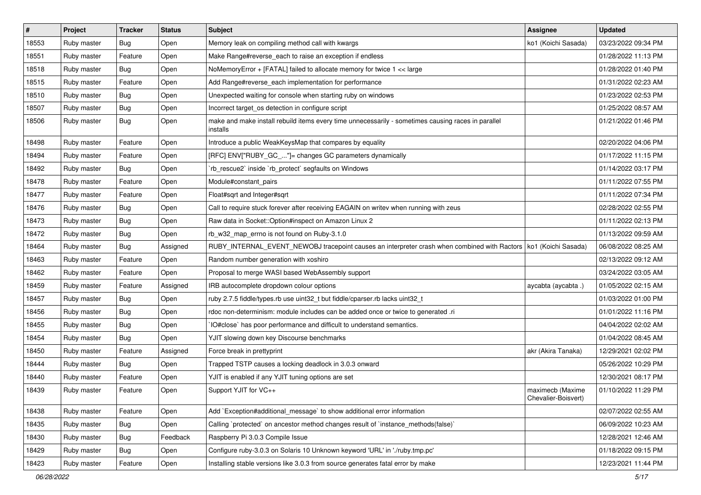| $\sharp$ | Project     | <b>Tracker</b> | <b>Status</b> | <b>Subject</b>                                                                                                     | Assignee                                | <b>Updated</b>      |
|----------|-------------|----------------|---------------|--------------------------------------------------------------------------------------------------------------------|-----------------------------------------|---------------------|
| 18553    | Ruby master | Bug            | Open          | Memory leak on compiling method call with kwargs                                                                   | ko1 (Koichi Sasada)                     | 03/23/2022 09:34 PM |
| 18551    | Ruby master | Feature        | Open          | Make Range#reverse_each to raise an exception if endless                                                           |                                         | 01/28/2022 11:13 PM |
| 18518    | Ruby master | Bug            | Open          | NoMemoryError + [FATAL] failed to allocate memory for twice 1 << large                                             |                                         | 01/28/2022 01:40 PM |
| 18515    | Ruby master | Feature        | Open          | Add Range#reverse_each implementation for performance                                                              |                                         | 01/31/2022 02:23 AM |
| 18510    | Ruby master | Bug            | Open          | Unexpected waiting for console when starting ruby on windows                                                       |                                         | 01/23/2022 02:53 PM |
| 18507    | Ruby master | <b>Bug</b>     | Open          | Incorrect target_os detection in configure script                                                                  |                                         | 01/25/2022 08:57 AM |
| 18506    | Ruby master | Bug            | Open          | make and make install rebuild items every time unnecessarily - sometimes causing races in parallel<br>installs     |                                         | 01/21/2022 01:46 PM |
| 18498    | Ruby master | Feature        | Open          | Introduce a public WeakKeysMap that compares by equality                                                           |                                         | 02/20/2022 04:06 PM |
| 18494    | Ruby master | Feature        | Open          | [RFC] ENV["RUBY_GC_"]= changes GC parameters dynamically                                                           |                                         | 01/17/2022 11:15 PM |
| 18492    | Ruby master | Bug            | Open          | 'rb_rescue2' inside 'rb_protect' segfaults on Windows                                                              |                                         | 01/14/2022 03:17 PM |
| 18478    | Ruby master | Feature        | Open          | Module#constant_pairs                                                                                              |                                         | 01/11/2022 07:55 PM |
| 18477    | Ruby master | Feature        | Open          | Float#sqrt and Integer#sqrt                                                                                        |                                         | 01/11/2022 07:34 PM |
| 18476    | Ruby master | <b>Bug</b>     | Open          | Call to require stuck forever after receiving EAGAIN on writev when running with zeus                              |                                         | 02/28/2022 02:55 PM |
| 18473    | Ruby master | Bug            | Open          | Raw data in Socket::Option#inspect on Amazon Linux 2                                                               |                                         | 01/11/2022 02:13 PM |
| 18472    | Ruby master | Bug            | Open          | rb_w32_map_errno is not found on Ruby-3.1.0                                                                        |                                         | 01/13/2022 09:59 AM |
| 18464    | Ruby master | <b>Bug</b>     | Assigned      | RUBY_INTERNAL_EVENT_NEWOBJ tracepoint causes an interpreter crash when combined with Ractors   ko1 (Koichi Sasada) |                                         | 06/08/2022 08:25 AM |
| 18463    | Ruby master | Feature        | Open          | Random number generation with xoshiro                                                                              |                                         | 02/13/2022 09:12 AM |
| 18462    | Ruby master | Feature        | Open          | Proposal to merge WASI based WebAssembly support                                                                   |                                         | 03/24/2022 03:05 AM |
| 18459    | Ruby master | Feature        | Assigned      | IRB autocomplete dropdown colour options                                                                           | aycabta (aycabta.)                      | 01/05/2022 02:15 AM |
| 18457    | Ruby master | <b>Bug</b>     | Open          | ruby 2.7.5 fiddle/types.rb use uint32_t but fiddle/cparser.rb lacks uint32_t                                       |                                         | 01/03/2022 01:00 PM |
| 18456    | Ruby master | Bug            | Open          | rdoc non-determinism: module includes can be added once or twice to generated .ri                                  |                                         | 01/01/2022 11:16 PM |
| 18455    | Ruby master | Bug            | Open          | IO#close` has poor performance and difficult to understand semantics.                                              |                                         | 04/04/2022 02:02 AM |
| 18454    | Ruby master | <b>Bug</b>     | Open          | YJIT slowing down key Discourse benchmarks                                                                         |                                         | 01/04/2022 08:45 AM |
| 18450    | Ruby master | Feature        | Assigned      | Force break in prettyprint                                                                                         | akr (Akira Tanaka)                      | 12/29/2021 02:02 PM |
| 18444    | Ruby master | Bug            | Open          | Trapped TSTP causes a locking deadlock in 3.0.3 onward                                                             |                                         | 05/26/2022 10:29 PM |
| 18440    | Ruby master | Feature        | Open          | YJIT is enabled if any YJIT tuning options are set                                                                 |                                         | 12/30/2021 08:17 PM |
| 18439    | Ruby master | Feature        | Open          | Support YJIT for VC++                                                                                              | maximecb (Maxime<br>Chevalier-Boisvert) | 01/10/2022 11:29 PM |
| 18438    | Ruby master | Feature        | Open          | Add `Exception#additional_message` to show additional error information                                            |                                         | 02/07/2022 02:55 AM |
| 18435    | Ruby master | <b>Bug</b>     | Open          | Calling `protected` on ancestor method changes result of `instance_methods(false)`                                 |                                         | 06/09/2022 10:23 AM |
| 18430    | Ruby master | <b>Bug</b>     | Feedback      | Raspberry Pi 3.0.3 Compile Issue                                                                                   |                                         | 12/28/2021 12:46 AM |
| 18429    | Ruby master | <b>Bug</b>     | Open          | Configure ruby-3.0.3 on Solaris 10 Unknown keyword 'URL' in './ruby.tmp.pc'                                        |                                         | 01/18/2022 09:15 PM |
| 18423    | Ruby master | Feature        | Open          | Installing stable versions like 3.0.3 from source generates fatal error by make                                    |                                         | 12/23/2021 11:44 PM |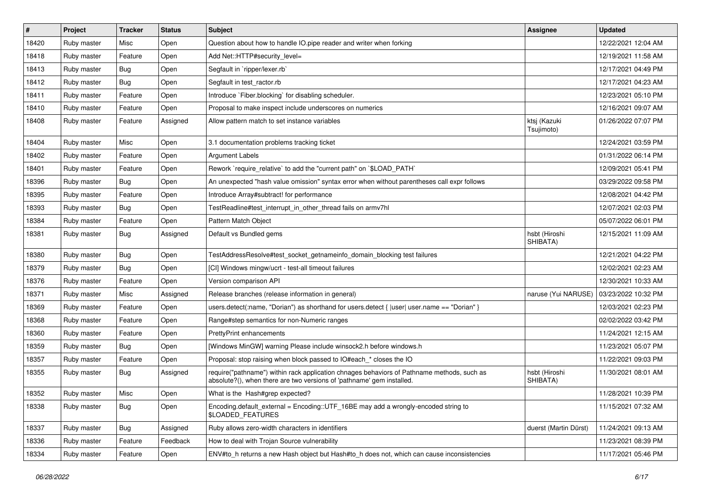| $\sharp$ | Project     | <b>Tracker</b> | <b>Status</b> | <b>Subject</b>                                                                                                                                                      | <b>Assignee</b>            | <b>Updated</b>      |
|----------|-------------|----------------|---------------|---------------------------------------------------------------------------------------------------------------------------------------------------------------------|----------------------------|---------------------|
| 18420    | Ruby master | Misc           | Open          | Question about how to handle IO pipe reader and writer when forking                                                                                                 |                            | 12/22/2021 12:04 AM |
| 18418    | Ruby master | Feature        | Open          | Add Net::HTTP#security_level=                                                                                                                                       |                            | 12/19/2021 11:58 AM |
| 18413    | Ruby master | <b>Bug</b>     | Open          | Segfault in `ripper/lexer.rb`                                                                                                                                       |                            | 12/17/2021 04:49 PM |
| 18412    | Ruby master | <b>Bug</b>     | Open          | Segfault in test_ractor.rb                                                                                                                                          |                            | 12/17/2021 04:23 AM |
| 18411    | Ruby master | Feature        | Open          | Introduce `Fiber.blocking` for disabling scheduler.                                                                                                                 |                            | 12/23/2021 05:10 PM |
| 18410    | Ruby master | Feature        | Open          | Proposal to make inspect include underscores on numerics                                                                                                            |                            | 12/16/2021 09:07 AM |
| 18408    | Ruby master | Feature        | Assigned      | Allow pattern match to set instance variables                                                                                                                       | ktsj (Kazuki<br>Tsujimoto) | 01/26/2022 07:07 PM |
| 18404    | Ruby master | Misc           | Open          | 3.1 documentation problems tracking ticket                                                                                                                          |                            | 12/24/2021 03:59 PM |
| 18402    | Ruby master | Feature        | Open          | <b>Argument Labels</b>                                                                                                                                              |                            | 01/31/2022 06:14 PM |
| 18401    | Ruby master | Feature        | Open          | Rework `require_relative` to add the "current path" on `\$LOAD_PATH`                                                                                                |                            | 12/09/2021 05:41 PM |
| 18396    | Ruby master | <b>Bug</b>     | Open          | An unexpected "hash value omission" syntax error when without parentheses call expr follows                                                                         |                            | 03/29/2022 09:58 PM |
| 18395    | Ruby master | Feature        | Open          | Introduce Array#subtract! for performance                                                                                                                           |                            | 12/08/2021 04:42 PM |
| 18393    | Ruby master | <b>Bug</b>     | Open          | TestReadline#test_interrupt_in_other_thread fails on armv7hl                                                                                                        |                            | 12/07/2021 02:03 PM |
| 18384    | Ruby master | Feature        | Open          | Pattern Match Object                                                                                                                                                |                            | 05/07/2022 06:01 PM |
| 18381    | Ruby master | Bug            | Assigned      | Default vs Bundled gems                                                                                                                                             | hsbt (Hiroshi<br>SHIBATA)  | 12/15/2021 11:09 AM |
| 18380    | Ruby master | <b>Bug</b>     | Open          | TestAddressResolve#test_socket_getnameinfo_domain_blocking test failures                                                                                            |                            | 12/21/2021 04:22 PM |
| 18379    | Ruby master | Bug            | Open          | [CI] Windows mingw/ucrt - test-all timeout failures                                                                                                                 |                            | 12/02/2021 02:23 AM |
| 18376    | Ruby master | Feature        | Open          | Version comparison API                                                                                                                                              |                            | 12/30/2021 10:33 AM |
| 18371    | Ruby master | Misc           | Assigned      | Release branches (release information in general)                                                                                                                   | naruse (Yui NARUSE)        | 03/23/2022 10:32 PM |
| 18369    | Ruby master | Feature        | Open          | users.detect(:name, "Dorian") as shorthand for users.detect { $ user $ user.name == "Dorian" }                                                                      |                            | 12/03/2021 02:23 PM |
| 18368    | Ruby master | Feature        | Open          | Range#step semantics for non-Numeric ranges                                                                                                                         |                            | 02/02/2022 03:42 PM |
| 18360    | Ruby master | Feature        | Open          | <b>PrettyPrint enhancements</b>                                                                                                                                     |                            | 11/24/2021 12:15 AM |
| 18359    | Ruby master | Bug            | Open          | [Windows MinGW] warning Please include winsock2.h before windows.h                                                                                                  |                            | 11/23/2021 05:07 PM |
| 18357    | Ruby master | Feature        | Open          | Proposal: stop raising when block passed to IO#each_* closes the IO                                                                                                 |                            | 11/22/2021 09:03 PM |
| 18355    | Ruby master | <b>Bug</b>     | Assigned      | require("pathname") within rack application chnages behaviors of Pathname methods, such as<br>absolute?(), when there are two versions of 'pathname' gem installed. | hsbt (Hiroshi<br>SHIBATA)  | 11/30/2021 08:01 AM |
| 18352    | Ruby master | Misc           | Open          | What is the Hash#grep expected?                                                                                                                                     |                            | 11/28/2021 10:39 PM |
| 18338    | Ruby master | Bug            | Open          | Encoding.default_external = Encoding::UTF_16BE may add a wrongly-encoded string to<br>\$LOADED_FEATURES                                                             |                            | 11/15/2021 07:32 AM |
| 18337    | Ruby master | Bug            | Assigned      | Ruby allows zero-width characters in identifiers                                                                                                                    | duerst (Martin Dürst)      | 11/24/2021 09:13 AM |
| 18336    | Ruby master | Feature        | Feedback      | How to deal with Trojan Source vulnerability                                                                                                                        |                            | 11/23/2021 08:39 PM |
| 18334    | Ruby master | Feature        | Open          | ENV#to_h returns a new Hash object but Hash#to_h does not, which can cause inconsistencies                                                                          |                            | 11/17/2021 05:46 PM |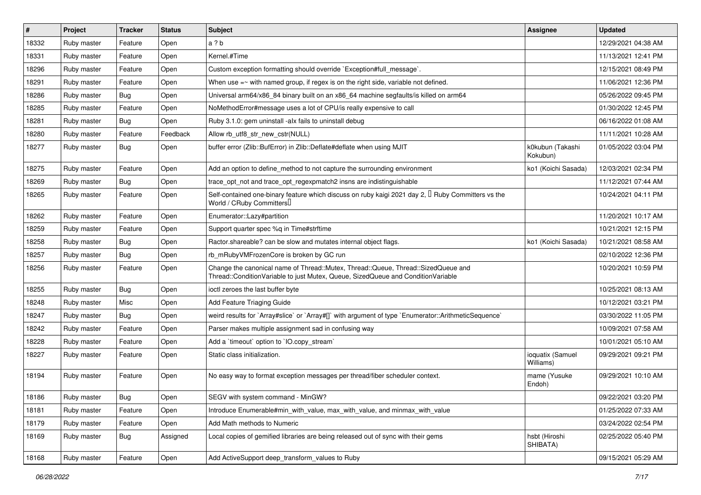| $\vert$ # | Project     | <b>Tracker</b> | <b>Status</b> | <b>Subject</b>                                                                                                                                                        | <b>Assignee</b>               | <b>Updated</b>      |
|-----------|-------------|----------------|---------------|-----------------------------------------------------------------------------------------------------------------------------------------------------------------------|-------------------------------|---------------------|
| 18332     | Ruby master | Feature        | Open          | a?b                                                                                                                                                                   |                               | 12/29/2021 04:38 AM |
| 18331     | Ruby master | Feature        | Open          | Kernel.#Time                                                                                                                                                          |                               | 11/13/2021 12:41 PM |
| 18296     | Ruby master | Feature        | Open          | Custom exception formatting should override `Exception#full_message`.                                                                                                 |                               | 12/15/2021 08:49 PM |
| 18291     | Ruby master | Feature        | Open          | When use $=$ with named group, if regex is on the right side, variable not defined.                                                                                   |                               | 11/06/2021 12:36 PM |
| 18286     | Ruby master | Bug            | Open          | Universal arm64/x86_84 binary built on an x86_64 machine segfaults/is killed on arm64                                                                                 |                               | 05/26/2022 09:45 PM |
| 18285     | Ruby master | Feature        | Open          | NoMethodError#message uses a lot of CPU/is really expensive to call                                                                                                   |                               | 01/30/2022 12:45 PM |
| 18281     | Ruby master | <b>Bug</b>     | Open          | Ruby 3.1.0: gem uninstall -alx fails to uninstall debug                                                                                                               |                               | 06/16/2022 01:08 AM |
| 18280     | Ruby master | Feature        | Feedback      | Allow rb_utf8_str_new_cstr(NULL)                                                                                                                                      |                               | 11/11/2021 10:28 AM |
| 18277     | Ruby master | Bug            | Open          | buffer error (Zlib::BufError) in Zlib::Deflate#deflate when using MJIT                                                                                                | k0kubun (Takashi<br>Kokubun)  | 01/05/2022 03:04 PM |
| 18275     | Ruby master | Feature        | Open          | Add an option to define method to not capture the surrounding environment                                                                                             | ko1 (Koichi Sasada)           | 12/03/2021 02:34 PM |
| 18269     | Ruby master | <b>Bug</b>     | Open          | trace_opt_not and trace_opt_regexpmatch2 insns are indistinguishable                                                                                                  |                               | 11/12/2021 07:44 AM |
| 18265     | Ruby master | Feature        | Open          | Self-contained one-binary feature which discuss on ruby kaigi 2021 day 2, <sup>[]</sup> Ruby Committers vs the<br>World / CRuby Committers                            |                               | 10/24/2021 04:11 PM |
| 18262     | Ruby master | Feature        | Open          | Enumerator::Lazy#partition                                                                                                                                            |                               | 11/20/2021 10:17 AM |
| 18259     | Ruby master | Feature        | Open          | Support quarter spec %q in Time#strftime                                                                                                                              |                               | 10/21/2021 12:15 PM |
| 18258     | Ruby master | <b>Bug</b>     | Open          | Ractor shareable? can be slow and mutates internal object flags.                                                                                                      | ko1 (Koichi Sasada)           | 10/21/2021 08:58 AM |
| 18257     | Ruby master | Bug            | Open          | rb_mRubyVMFrozenCore is broken by GC run                                                                                                                              |                               | 02/10/2022 12:36 PM |
| 18256     | Ruby master | Feature        | Open          | Change the canonical name of Thread::Mutex, Thread::Queue, Thread::SizedQueue and<br>Thread::ConditionVariable to just Mutex, Queue, SizedQueue and ConditionVariable |                               | 10/20/2021 10:59 PM |
| 18255     | Ruby master | Bug            | Open          | ioctl zeroes the last buffer byte                                                                                                                                     |                               | 10/25/2021 08:13 AM |
| 18248     | Ruby master | Misc           | Open          | Add Feature Triaging Guide                                                                                                                                            |                               | 10/12/2021 03:21 PM |
| 18247     | Ruby master | <b>Bug</b>     | Open          | weird results for `Array#slice` or `Array#[]` with argument of type `Enumerator::ArithmeticSequence`                                                                  |                               | 03/30/2022 11:05 PM |
| 18242     | Ruby master | Feature        | Open          | Parser makes multiple assignment sad in confusing way                                                                                                                 |                               | 10/09/2021 07:58 AM |
| 18228     | Ruby master | Feature        | Open          | Add a 'timeout' option to 'IO.copy_stream'                                                                                                                            |                               | 10/01/2021 05:10 AM |
| 18227     | Ruby master | Feature        | Open          | Static class initialization.                                                                                                                                          | ioquatix (Samuel<br>Williams) | 09/29/2021 09:21 PM |
| 18194     | Ruby master | Feature        | Open          | No easy way to format exception messages per thread/fiber scheduler context.                                                                                          | mame (Yusuke<br>Endoh)        | 09/29/2021 10:10 AM |
| 18186     | Ruby master | Bug            | Open          | SEGV with system command - MinGW?                                                                                                                                     |                               | 09/22/2021 03:20 PM |
| 18181     | Ruby master | Feature        | Open          | Introduce Enumerable#min with value, max with value, and minmax with value                                                                                            |                               | 01/25/2022 07:33 AM |
| 18179     | Ruby master | Feature        | Open          | Add Math methods to Numeric                                                                                                                                           |                               | 03/24/2022 02:54 PM |
| 18169     | Ruby master | <b>Bug</b>     | Assigned      | Local copies of gemified libraries are being released out of sync with their gems                                                                                     | hsbt (Hiroshi<br>SHIBATA)     | 02/25/2022 05:40 PM |
| 18168     | Ruby master | Feature        | Open          | Add ActiveSupport deep transform values to Ruby                                                                                                                       |                               | 09/15/2021 05:29 AM |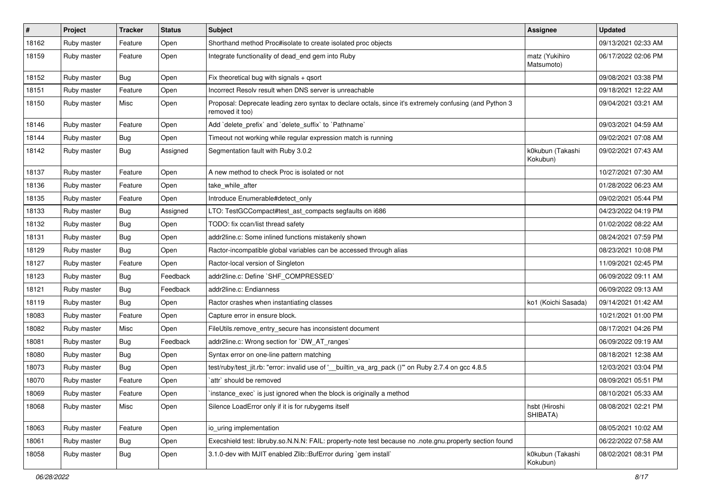| $\vert$ # | Project     | <b>Tracker</b> | <b>Status</b> | <b>Subject</b>                                                                                                             | <b>Assignee</b>              | <b>Updated</b>      |
|-----------|-------------|----------------|---------------|----------------------------------------------------------------------------------------------------------------------------|------------------------------|---------------------|
| 18162     | Ruby master | Feature        | Open          | Shorthand method Proc#isolate to create isolated proc objects                                                              |                              | 09/13/2021 02:33 AM |
| 18159     | Ruby master | Feature        | Open          | Integrate functionality of dead_end gem into Ruby                                                                          | matz (Yukihiro<br>Matsumoto) | 06/17/2022 02:06 PM |
| 18152     | Ruby master | Bug            | Open          | Fix theoretical bug with signals $+$ qsort                                                                                 |                              | 09/08/2021 03:38 PM |
| 18151     | Ruby master | Feature        | Open          | Incorrect Resolv result when DNS server is unreachable                                                                     |                              | 09/18/2021 12:22 AM |
| 18150     | Ruby master | Misc           | Open          | Proposal: Deprecate leading zero syntax to declare octals, since it's extremely confusing (and Python 3<br>removed it too) |                              | 09/04/2021 03:21 AM |
| 18146     | Ruby master | Feature        | Open          | Add 'delete_prefix' and 'delete_suffix' to 'Pathname'                                                                      |                              | 09/03/2021 04:59 AM |
| 18144     | Ruby master | <b>Bug</b>     | Open          | Timeout not working while regular expression match is running                                                              |                              | 09/02/2021 07:08 AM |
| 18142     | Ruby master | Bug            | Assigned      | Segmentation fault with Ruby 3.0.2                                                                                         | k0kubun (Takashi<br>Kokubun) | 09/02/2021 07:43 AM |
| 18137     | Ruby master | Feature        | Open          | A new method to check Proc is isolated or not                                                                              |                              | 10/27/2021 07:30 AM |
| 18136     | Ruby master | Feature        | Open          | take while after                                                                                                           |                              | 01/28/2022 06:23 AM |
| 18135     | Ruby master | Feature        | Open          | Introduce Enumerable#detect_only                                                                                           |                              | 09/02/2021 05:44 PM |
| 18133     | Ruby master | <b>Bug</b>     | Assigned      | LTO: TestGCCompact#test_ast_compacts segfaults on i686                                                                     |                              | 04/23/2022 04:19 PM |
| 18132     | Ruby master | Bug            | Open          | TODO: fix ccan/list thread safety                                                                                          |                              | 01/02/2022 08:22 AM |
| 18131     | Ruby master | <b>Bug</b>     | Open          | addr2line.c: Some inlined functions mistakenly shown                                                                       |                              | 08/24/2021 07:59 PM |
| 18129     | Ruby master | Bug            | Open          | Ractor-incompatible global variables can be accessed through alias                                                         |                              | 08/23/2021 10:08 PM |
| 18127     | Ruby master | Feature        | Open          | Ractor-local version of Singleton                                                                                          |                              | 11/09/2021 02:45 PM |
| 18123     | Ruby master | <b>Bug</b>     | Feedback      | addr2line.c: Define `SHF_COMPRESSED`                                                                                       |                              | 06/09/2022 09:11 AM |
| 18121     | Ruby master | Bug            | Feedback      | addr2line.c: Endianness                                                                                                    |                              | 06/09/2022 09:13 AM |
| 18119     | Ruby master | <b>Bug</b>     | Open          | Ractor crashes when instantiating classes                                                                                  | ko1 (Koichi Sasada)          | 09/14/2021 01:42 AM |
| 18083     | Ruby master | Feature        | Open          | Capture error in ensure block.                                                                                             |                              | 10/21/2021 01:00 PM |
| 18082     | Ruby master | Misc           | Open          | FileUtils.remove_entry_secure has inconsistent document                                                                    |                              | 08/17/2021 04:26 PM |
| 18081     | Ruby master | Bug            | Feedback      | addr2line.c: Wrong section for `DW_AT_ranges`                                                                              |                              | 06/09/2022 09:19 AM |
| 18080     | Ruby master | Bug            | Open          | Syntax error on one-line pattern matching                                                                                  |                              | 08/18/2021 12:38 AM |
| 18073     | Ruby master | <b>Bug</b>     | Open          | test/ruby/test_jit.rb: "error: invalid use of ' builtin_va_arg_pack ()" on Ruby 2.7.4 on gcc 4.8.5                         |                              | 12/03/2021 03:04 PM |
| 18070     | Ruby master | Feature        | Open          | attr` should be removed                                                                                                    |                              | 08/09/2021 05:51 PM |
| 18069     | Ruby master | Feature        | Open          | instance_exec` is just ignored when the block is originally a method                                                       |                              | 08/10/2021 05:33 AM |
| 18068     | Ruby master | Misc           | Open          | Silence LoadError only if it is for rubygems itself                                                                        | hsbt (Hiroshi<br>SHIBATA)    | 08/08/2021 02:21 PM |
| 18063     | Ruby master | Feature        | Open          | io_uring implementation                                                                                                    |                              | 08/05/2021 10:02 AM |
| 18061     | Ruby master | <b>Bug</b>     | Open          | Execshield test: libruby.so.N.N.N: FAIL: property-note test because no .note.gnu.property section found                    |                              | 06/22/2022 07:58 AM |
| 18058     | Ruby master | Bug            | Open          | 3.1.0-dev with MJIT enabled Zlib::BufError during `gem install`                                                            | k0kubun (Takashi<br>Kokubun) | 08/02/2021 08:31 PM |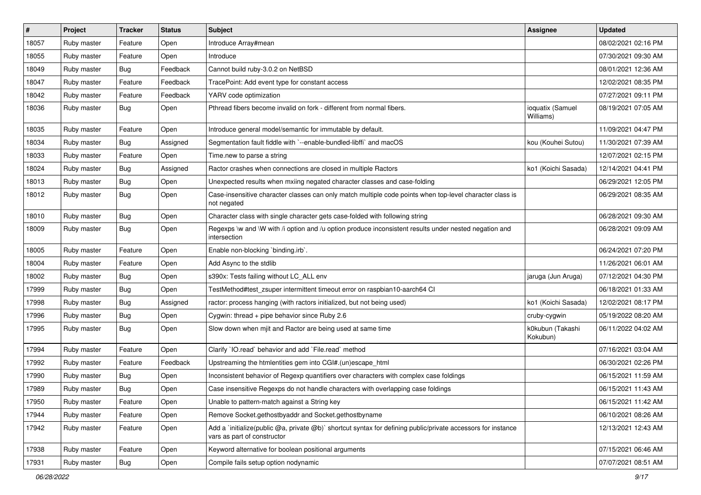| $\vert$ # | Project     | <b>Tracker</b> | <b>Status</b> | Subject                                                                                                                                     | <b>Assignee</b>               | <b>Updated</b>      |
|-----------|-------------|----------------|---------------|---------------------------------------------------------------------------------------------------------------------------------------------|-------------------------------|---------------------|
| 18057     | Ruby master | Feature        | Open          | Introduce Array#mean                                                                                                                        |                               | 08/02/2021 02:16 PM |
| 18055     | Ruby master | Feature        | Open          | Introduce                                                                                                                                   |                               | 07/30/2021 09:30 AM |
| 18049     | Ruby master | <b>Bug</b>     | Feedback      | Cannot build ruby-3.0.2 on NetBSD                                                                                                           |                               | 08/01/2021 12:36 AM |
| 18047     | Ruby master | Feature        | Feedback      | TracePoint: Add event type for constant access                                                                                              |                               | 12/02/2021 08:35 PM |
| 18042     | Ruby master | Feature        | Feedback      | YARV code optimization                                                                                                                      |                               | 07/27/2021 09:11 PM |
| 18036     | Ruby master | Bug            | Open          | Pthread fibers become invalid on fork - different from normal fibers.                                                                       | ioquatix (Samuel<br>Williams) | 08/19/2021 07:05 AM |
| 18035     | Ruby master | Feature        | Open          | Introduce general model/semantic for immutable by default.                                                                                  |                               | 11/09/2021 04:47 PM |
| 18034     | Ruby master | Bug            | Assigned      | Segmentation fault fiddle with `--enable-bundled-libffi` and macOS                                                                          | kou (Kouhei Sutou)            | 11/30/2021 07:39 AM |
| 18033     | Ruby master | Feature        | Open          | Time.new to parse a string                                                                                                                  |                               | 12/07/2021 02:15 PM |
| 18024     | Ruby master | Bug            | Assigned      | Ractor crashes when connections are closed in multiple Ractors                                                                              | ko1 (Koichi Sasada)           | 12/14/2021 04:41 PM |
| 18013     | Ruby master | <b>Bug</b>     | Open          | Unexpected results when mxiing negated character classes and case-folding                                                                   |                               | 06/29/2021 12:05 PM |
| 18012     | Ruby master | <b>Bug</b>     | Open          | Case-insensitive character classes can only match multiple code points when top-level character class is<br>not negated                     |                               | 06/29/2021 08:35 AM |
| 18010     | Ruby master | <b>Bug</b>     | Open          | Character class with single character gets case-folded with following string                                                                |                               | 06/28/2021 09:30 AM |
| 18009     | Ruby master | <b>Bug</b>     | Open          | Regexps \w and \W with /i option and /u option produce inconsistent results under nested negation and<br>intersection                       |                               | 06/28/2021 09:09 AM |
| 18005     | Ruby master | Feature        | Open          | Enable non-blocking `binding.irb`.                                                                                                          |                               | 06/24/2021 07:20 PM |
| 18004     | Ruby master | Feature        | Open          | Add Async to the stdlib                                                                                                                     |                               | 11/26/2021 06:01 AM |
| 18002     | Ruby master | <b>Bug</b>     | Open          | s390x: Tests failing without LC_ALL env                                                                                                     | jaruga (Jun Aruga)            | 07/12/2021 04:30 PM |
| 17999     | Ruby master | <b>Bug</b>     | Open          | TestMethod#test_zsuper intermittent timeout error on raspbian10-aarch64 CI                                                                  |                               | 06/18/2021 01:33 AM |
| 17998     | Ruby master | <b>Bug</b>     | Assigned      | ractor: process hanging (with ractors initialized, but not being used)                                                                      | ko1 (Koichi Sasada)           | 12/02/2021 08:17 PM |
| 17996     | Ruby master | <b>Bug</b>     | Open          | Cygwin: thread + pipe behavior since Ruby 2.6                                                                                               | cruby-cygwin                  | 05/19/2022 08:20 AM |
| 17995     | Ruby master | Bug            | Open          | Slow down when mjit and Ractor are being used at same time                                                                                  | k0kubun (Takashi<br>Kokubun)  | 06/11/2022 04:02 AM |
| 17994     | Ruby master | Feature        | Open          | Clarify 'IO.read' behavior and add 'File.read' method                                                                                       |                               | 07/16/2021 03:04 AM |
| 17992     | Ruby master | Feature        | Feedback      | Upstreaming the htmlentities gem into CGI#.(un)escape_html                                                                                  |                               | 06/30/2021 02:26 PM |
| 17990     | Ruby master | <b>Bug</b>     | Open          | Inconsistent behavior of Regexp quantifiers over characters with complex case foldings                                                      |                               | 06/15/2021 11:59 AM |
| 17989     | Ruby master | <b>Bug</b>     | Open          | Case insensitive Regexps do not handle characters with overlapping case foldings                                                            |                               | 06/15/2021 11:43 AM |
| 17950     | Ruby master | Feature        | Open          | Unable to pattern-match against a String key                                                                                                |                               | 06/15/2021 11:42 AM |
| 17944     | Ruby master | Feature        | Open          | Remove Socket.gethostbyaddr and Socket.gethostbyname                                                                                        |                               | 06/10/2021 08:26 AM |
| 17942     | Ruby master | Feature        | Open          | Add a 'initialize(public @a, private @b)' shortcut syntax for defining public/private accessors for instance<br>vars as part of constructor |                               | 12/13/2021 12:43 AM |
| 17938     | Ruby master | Feature        | Open          | Keyword alternative for boolean positional arguments                                                                                        |                               | 07/15/2021 06:46 AM |
| 17931     | Ruby master | <b>Bug</b>     | Open          | Compile fails setup option nodynamic                                                                                                        |                               | 07/07/2021 08:51 AM |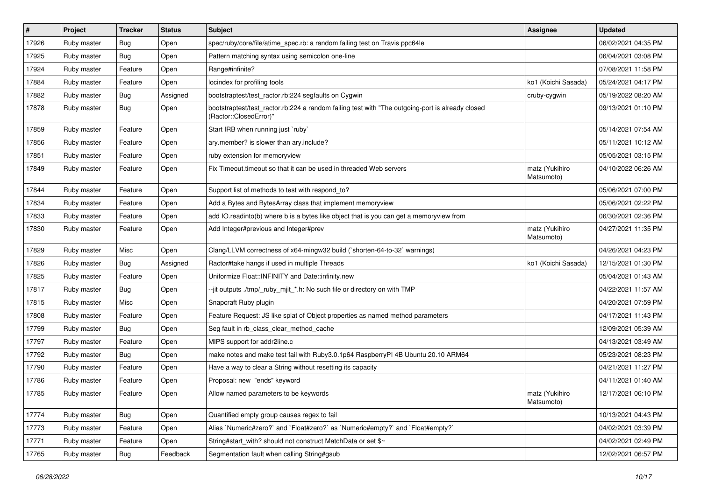| $\vert$ # | Project     | <b>Tracker</b> | <b>Status</b> | <b>Subject</b>                                                                                                             | <b>Assignee</b>              | <b>Updated</b>      |
|-----------|-------------|----------------|---------------|----------------------------------------------------------------------------------------------------------------------------|------------------------------|---------------------|
| 17926     | Ruby master | <b>Bug</b>     | Open          | spec/ruby/core/file/atime_spec.rb: a random failing test on Travis ppc64le                                                 |                              | 06/02/2021 04:35 PM |
| 17925     | Ruby master | <b>Bug</b>     | Open          | Pattern matching syntax using semicolon one-line                                                                           |                              | 06/04/2021 03:08 PM |
| 17924     | Ruby master | Feature        | Open          | Range#infinite?                                                                                                            |                              | 07/08/2021 11:58 PM |
| 17884     | Ruby master | Feature        | Open          | locindex for profiling tools                                                                                               | ko1 (Koichi Sasada)          | 05/24/2021 04:17 PM |
| 17882     | Ruby master | <b>Bug</b>     | Assigned      | bootstraptest/test_ractor.rb:224 segfaults on Cygwin                                                                       | cruby-cygwin                 | 05/19/2022 08:20 AM |
| 17878     | Ruby master | Bug            | Open          | bootstraptest/test_ractor.rb:224 a random failing test with "The outgoing-port is already closed<br>(Ractor::ClosedError)" |                              | 09/13/2021 01:10 PM |
| 17859     | Ruby master | Feature        | Open          | Start IRB when running just `ruby`                                                                                         |                              | 05/14/2021 07:54 AM |
| 17856     | Ruby master | Feature        | Open          | ary.member? is slower than ary.include?                                                                                    |                              | 05/11/2021 10:12 AM |
| 17851     | Ruby master | Feature        | Open          | ruby extension for memoryview                                                                                              |                              | 05/05/2021 03:15 PM |
| 17849     | Ruby master | Feature        | Open          | Fix Timeout.timeout so that it can be used in threaded Web servers                                                         | matz (Yukihiro<br>Matsumoto) | 04/10/2022 06:26 AM |
| 17844     | Ruby master | Feature        | Open          | Support list of methods to test with respond_to?                                                                           |                              | 05/06/2021 07:00 PM |
| 17834     | Ruby master | Feature        | Open          | Add a Bytes and BytesArray class that implement memoryview                                                                 |                              | 05/06/2021 02:22 PM |
| 17833     | Ruby master | Feature        | Open          | add IO.readinto(b) where b is a bytes like object that is you can get a memoryview from                                    |                              | 06/30/2021 02:36 PM |
| 17830     | Ruby master | Feature        | Open          | Add Integer#previous and Integer#prev                                                                                      | matz (Yukihiro<br>Matsumoto) | 04/27/2021 11:35 PM |
| 17829     | Ruby master | Misc           | Open          | Clang/LLVM correctness of x64-mingw32 build (`shorten-64-to-32` warnings)                                                  |                              | 04/26/2021 04:23 PM |
| 17826     | Ruby master | <b>Bug</b>     | Assigned      | Ractor#take hangs if used in multiple Threads                                                                              | ko1 (Koichi Sasada)          | 12/15/2021 01:30 PM |
| 17825     | Ruby master | Feature        | Open          | Uniformize Float::INFINITY and Date::infinity.new                                                                          |                              | 05/04/2021 01:43 AM |
| 17817     | Ruby master | <b>Bug</b>     | Open          | --jit outputs ./tmp/_ruby_mjit_*.h: No such file or directory on with TMP                                                  |                              | 04/22/2021 11:57 AM |
| 17815     | Ruby master | Misc           | Open          | Snapcraft Ruby plugin                                                                                                      |                              | 04/20/2021 07:59 PM |
| 17808     | Ruby master | Feature        | Open          | Feature Request: JS like splat of Object properties as named method parameters                                             |                              | 04/17/2021 11:43 PM |
| 17799     | Ruby master | <b>Bug</b>     | Open          | Seg fault in rb_class_clear_method_cache                                                                                   |                              | 12/09/2021 05:39 AM |
| 17797     | Ruby master | Feature        | Open          | MIPS support for addr2line.c                                                                                               |                              | 04/13/2021 03:49 AM |
| 17792     | Ruby master | <b>Bug</b>     | Open          | make notes and make test fail with Ruby3.0.1p64 RaspberryPI 4B Ubuntu 20.10 ARM64                                          |                              | 05/23/2021 08:23 PM |
| 17790     | Ruby master | Feature        | Open          | Have a way to clear a String without resetting its capacity                                                                |                              | 04/21/2021 11:27 PM |
| 17786     | Ruby master | Feature        | Open          | Proposal: new "ends" keyword                                                                                               |                              | 04/11/2021 01:40 AM |
| 17785     | Ruby master | Feature        | Open          | Allow named parameters to be keywords                                                                                      | matz (Yukihiro<br>Matsumoto) | 12/17/2021 06:10 PM |
| 17774     | Ruby master | <b>Bug</b>     | Open          | Quantified empty group causes regex to fail                                                                                |                              | 10/13/2021 04:43 PM |
| 17773     | Ruby master | Feature        | Open          | Alias `Numeric#zero?` and `Float#zero?` as `Numeric#empty?` and `Float#empty?`                                             |                              | 04/02/2021 03:39 PM |
| 17771     | Ruby master | Feature        | Open          | String#start_with? should not construct MatchData or set \$~                                                               |                              | 04/02/2021 02:49 PM |
| 17765     | Ruby master | <b>Bug</b>     | Feedback      | Segmentation fault when calling String#gsub                                                                                |                              | 12/02/2021 06:57 PM |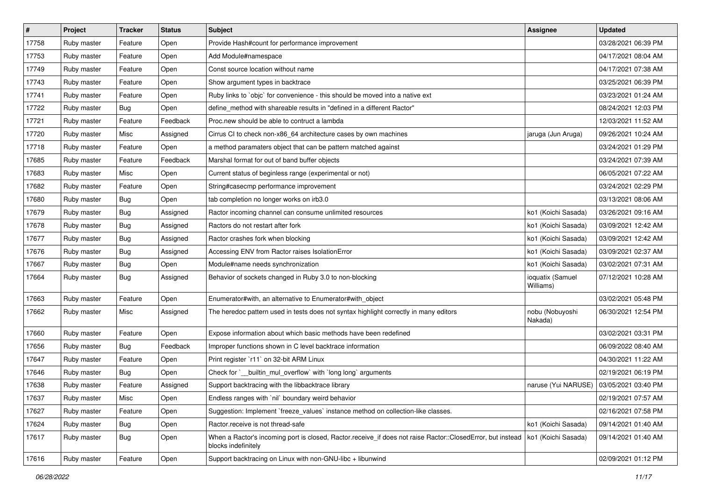| #     | Project     | <b>Tracker</b> | <b>Status</b> | <b>Subject</b>                                                                                                                    | Assignee                                  | <b>Updated</b>      |
|-------|-------------|----------------|---------------|-----------------------------------------------------------------------------------------------------------------------------------|-------------------------------------------|---------------------|
| 17758 | Ruby master | Feature        | Open          | Provide Hash#count for performance improvement                                                                                    |                                           | 03/28/2021 06:39 PM |
| 17753 | Ruby master | Feature        | Open          | Add Module#namespace                                                                                                              |                                           | 04/17/2021 08:04 AM |
| 17749 | Ruby master | Feature        | Open          | Const source location without name                                                                                                |                                           | 04/17/2021 07:38 AM |
| 17743 | Ruby master | Feature        | Open          | Show argument types in backtrace                                                                                                  |                                           | 03/25/2021 06:39 PM |
| 17741 | Ruby master | Feature        | Open          | Ruby links to `objc` for convenience - this should be moved into a native ext                                                     |                                           | 03/23/2021 01:24 AM |
| 17722 | Ruby master | Bug            | Open          | define method with shareable results in "defined in a different Ractor"                                                           |                                           | 08/24/2021 12:03 PM |
| 17721 | Ruby master | Feature        | Feedback      | Proc.new should be able to contruct a lambda                                                                                      |                                           | 12/03/2021 11:52 AM |
| 17720 | Ruby master | Misc           | Assigned      | Cirrus CI to check non-x86_64 architecture cases by own machines                                                                  | jaruga (Jun Aruga)                        | 09/26/2021 10:24 AM |
| 17718 | Ruby master | Feature        | Open          | a method paramaters object that can be pattern matched against                                                                    |                                           | 03/24/2021 01:29 PM |
| 17685 | Ruby master | Feature        | Feedback      | Marshal format for out of band buffer objects                                                                                     |                                           | 03/24/2021 07:39 AM |
| 17683 | Ruby master | Misc           | Open          | Current status of beginless range (experimental or not)                                                                           |                                           | 06/05/2021 07:22 AM |
| 17682 | Ruby master | Feature        | Open          | String#casecmp performance improvement                                                                                            |                                           | 03/24/2021 02:29 PM |
| 17680 | Ruby master | Bug            | Open          | tab completion no longer works on irb3.0                                                                                          |                                           | 03/13/2021 08:06 AM |
| 17679 | Ruby master | Bug            | Assigned      | Ractor incoming channel can consume unlimited resources                                                                           | ko1 (Koichi Sasada)                       | 03/26/2021 09:16 AM |
| 17678 | Ruby master | <b>Bug</b>     | Assigned      | Ractors do not restart after fork                                                                                                 | ko1 (Koichi Sasada)                       | 03/09/2021 12:42 AM |
| 17677 | Ruby master | Bug            | Assigned      | Ractor crashes fork when blocking                                                                                                 | ko1 (Koichi Sasada)                       | 03/09/2021 12:42 AM |
| 17676 | Ruby master | Bug            | Assigned      | Accessing ENV from Ractor raises IsolationError                                                                                   | ko1 (Koichi Sasada)                       | 03/09/2021 02:37 AM |
| 17667 | Ruby master | Bug            | Open          | Module#name needs synchronization                                                                                                 | ko1 (Koichi Sasada)                       | 03/02/2021 07:31 AM |
| 17664 | Ruby master | Bug            | Assigned      | Behavior of sockets changed in Ruby 3.0 to non-blocking                                                                           | ioquatix (Samuel<br>Williams)             | 07/12/2021 10:28 AM |
| 17663 | Ruby master | Feature        | Open          | Enumerator#with, an alternative to Enumerator#with_object                                                                         |                                           | 03/02/2021 05:48 PM |
| 17662 | Ruby master | Misc           | Assigned      | The heredoc pattern used in tests does not syntax highlight correctly in many editors                                             | nobu (Nobuyoshi<br>Nakada)                | 06/30/2021 12:54 PM |
| 17660 | Ruby master | Feature        | Open          | Expose information about which basic methods have been redefined                                                                  |                                           | 03/02/2021 03:31 PM |
| 17656 | Ruby master | Bug            | Feedback      | Improper functions shown in C level backtrace information                                                                         |                                           | 06/09/2022 08:40 AM |
| 17647 | Ruby master | Feature        | Open          | Print register 'r11' on 32-bit ARM Linux                                                                                          |                                           | 04/30/2021 11:22 AM |
| 17646 | Ruby master | Bug            | Open          | Check for `__builtin_mul_overflow` with `long long` arguments                                                                     |                                           | 02/19/2021 06:19 PM |
| 17638 | Ruby master | Feature        | Assigned      | Support backtracing with the libbacktrace library                                                                                 | naruse (Yui NARUSE)   03/05/2021 03:40 PM |                     |
| 17637 | Ruby master | Misc           | Open          | Endless ranges with `nil` boundary weird behavior                                                                                 |                                           | 02/19/2021 07:57 AM |
| 17627 | Ruby master | Feature        | Open          | Suggestion: Implement `freeze_values` instance method on collection-like classes.                                                 |                                           | 02/16/2021 07:58 PM |
| 17624 | Ruby master | Bug            | Open          | Ractor.receive is not thread-safe                                                                                                 | ko1 (Koichi Sasada)                       | 09/14/2021 01:40 AM |
| 17617 | Ruby master | <b>Bug</b>     | Open          | When a Ractor's incoming port is closed, Ractor.receive_if does not raise Ractor::ClosedError, but instead<br>blocks indefinitely | ko1 (Koichi Sasada)                       | 09/14/2021 01:40 AM |
| 17616 | Ruby master | Feature        | Open          | Support backtracing on Linux with non-GNU-libc + libunwind                                                                        |                                           | 02/09/2021 01:12 PM |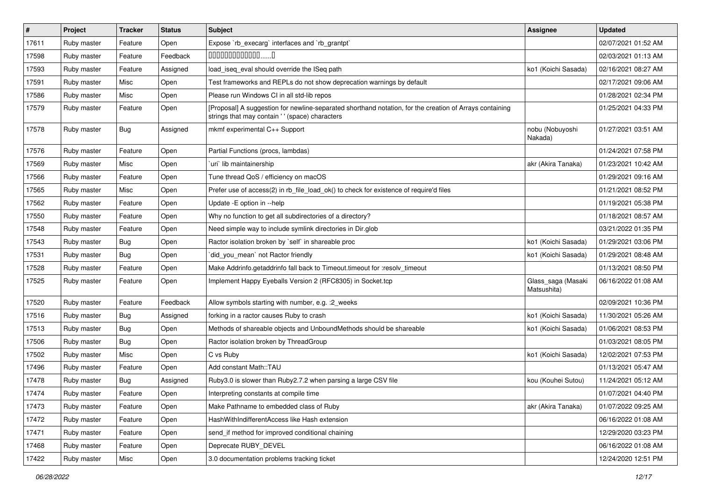| #     | Project     | <b>Tracker</b> | <b>Status</b> | Subject                                                                                                                                                    | <b>Assignee</b>                   | <b>Updated</b>      |
|-------|-------------|----------------|---------------|------------------------------------------------------------------------------------------------------------------------------------------------------------|-----------------------------------|---------------------|
| 17611 | Ruby master | Feature        | Open          | Expose `rb execarg` interfaces and `rb grantpt`                                                                                                            |                                   | 02/07/2021 01:52 AM |
| 17598 | Ruby master | Feature        | Feedback      | $0000000000000010$                                                                                                                                         |                                   | 02/03/2021 01:13 AM |
| 17593 | Ruby master | Feature        | Assigned      | load iseq eval should override the ISeq path                                                                                                               | ko1 (Koichi Sasada)               | 02/16/2021 08:27 AM |
| 17591 | Ruby master | Misc           | Open          | Test frameworks and REPLs do not show deprecation warnings by default                                                                                      |                                   | 02/17/2021 09:06 AM |
| 17586 | Ruby master | Misc           | Open          | Please run Windows CI in all std-lib repos                                                                                                                 |                                   | 01/28/2021 02:34 PM |
| 17579 | Ruby master | Feature        | Open          | [Proposal] A suggestion for newline-separated shorthand notation, for the creation of Arrays containing<br>strings that may contain ' ' (space) characters |                                   | 01/25/2021 04:33 PM |
| 17578 | Ruby master | <b>Bug</b>     | Assigned      | mkmf experimental C++ Support                                                                                                                              | nobu (Nobuyoshi<br>Nakada)        | 01/27/2021 03:51 AM |
| 17576 | Ruby master | Feature        | Open          | Partial Functions (procs, lambdas)                                                                                                                         |                                   | 01/24/2021 07:58 PM |
| 17569 | Ruby master | Misc           | Open          | uri lib maintainership                                                                                                                                     | akr (Akira Tanaka)                | 01/23/2021 10:42 AM |
| 17566 | Ruby master | Feature        | Open          | Tune thread QoS / efficiency on macOS                                                                                                                      |                                   | 01/29/2021 09:16 AM |
| 17565 | Ruby master | Misc           | Open          | Prefer use of access(2) in rb_file_load_ok() to check for existence of require'd files                                                                     |                                   | 01/21/2021 08:52 PM |
| 17562 | Ruby master | Feature        | Open          | Update -E option in --help                                                                                                                                 |                                   | 01/19/2021 05:38 PM |
| 17550 | Ruby master | Feature        | Open          | Why no function to get all subdirectories of a directory?                                                                                                  |                                   | 01/18/2021 08:57 AM |
| 17548 | Ruby master | Feature        | Open          | Need simple way to include symlink directories in Dir.glob                                                                                                 |                                   | 03/21/2022 01:35 PM |
| 17543 | Ruby master | Bug            | Open          | Ractor isolation broken by `self` in shareable proc                                                                                                        | ko1 (Koichi Sasada)               | 01/29/2021 03:06 PM |
| 17531 | Ruby master | Bug            | Open          | did you mean' not Ractor friendly                                                                                                                          | ko1 (Koichi Sasada)               | 01/29/2021 08:48 AM |
| 17528 | Ruby master | Feature        | Open          | Make Addrinfo.getaddrinfo fall back to Timeout.timeout for :resolv_timeout                                                                                 |                                   | 01/13/2021 08:50 PM |
| 17525 | Ruby master | Feature        | Open          | Implement Happy Eyeballs Version 2 (RFC8305) in Socket.tcp                                                                                                 | Glass_saga (Masaki<br>Matsushita) | 06/16/2022 01:08 AM |
| 17520 | Ruby master | Feature        | Feedback      | Allow symbols starting with number, e.g. : 2_weeks                                                                                                         |                                   | 02/09/2021 10:36 PM |
| 17516 | Ruby master | <b>Bug</b>     | Assigned      | forking in a ractor causes Ruby to crash                                                                                                                   | ko1 (Koichi Sasada)               | 11/30/2021 05:26 AM |
| 17513 | Ruby master | Bug            | Open          | Methods of shareable objects and UnboundMethods should be shareable                                                                                        | ko1 (Koichi Sasada)               | 01/06/2021 08:53 PM |
| 17506 | Ruby master | <b>Bug</b>     | Open          | Ractor isolation broken by ThreadGroup                                                                                                                     |                                   | 01/03/2021 08:05 PM |
| 17502 | Ruby master | Misc           | Open          | C vs Ruby                                                                                                                                                  | ko1 (Koichi Sasada)               | 12/02/2021 07:53 PM |
| 17496 | Ruby master | Feature        | Open          | Add constant Math::TAU                                                                                                                                     |                                   | 01/13/2021 05:47 AM |
| 17478 | Ruby master | <b>Bug</b>     | Assigned      | Ruby3.0 is slower than Ruby2.7.2 when parsing a large CSV file                                                                                             | kou (Kouhei Sutou)                | 11/24/2021 05:12 AM |
| 17474 | Ruby master | Feature        | Open          | Interpreting constants at compile time                                                                                                                     |                                   | 01/07/2021 04:40 PM |
| 17473 | Ruby master | Feature        | Open          | Make Pathname to embedded class of Ruby                                                                                                                    | akr (Akira Tanaka)                | 01/07/2022 09:25 AM |
| 17472 | Ruby master | Feature        | Open          | HashWithIndifferentAccess like Hash extension                                                                                                              |                                   | 06/16/2022 01:08 AM |
| 17471 | Ruby master | Feature        | Open          | send_if method for improved conditional chaining                                                                                                           |                                   | 12/29/2020 03:23 PM |
| 17468 | Ruby master | Feature        | Open          | Deprecate RUBY_DEVEL                                                                                                                                       |                                   | 06/16/2022 01:08 AM |
| 17422 | Ruby master | Misc           | Open          | 3.0 documentation problems tracking ticket                                                                                                                 |                                   | 12/24/2020 12:51 PM |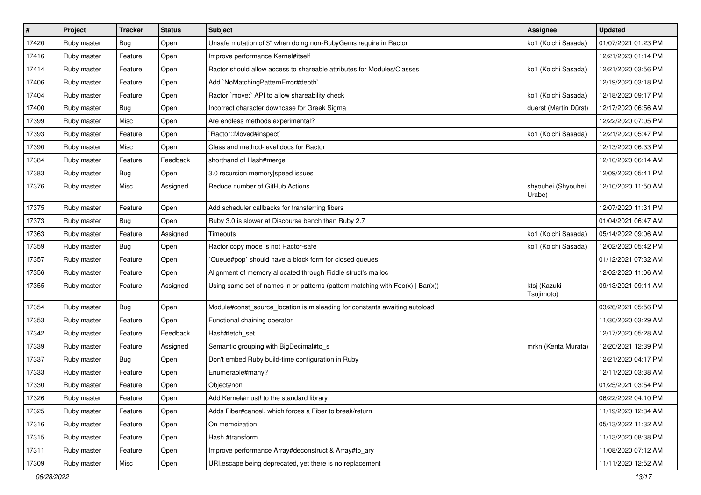| $\vert$ # | Project     | <b>Tracker</b> | <b>Status</b> | <b>Subject</b>                                                                    | <b>Assignee</b>              | <b>Updated</b>      |
|-----------|-------------|----------------|---------------|-----------------------------------------------------------------------------------|------------------------------|---------------------|
| 17420     | Ruby master | Bug            | Open          | Unsafe mutation of \$" when doing non-RubyGems require in Ractor                  | ko1 (Koichi Sasada)          | 01/07/2021 01:23 PM |
| 17416     | Ruby master | Feature        | Open          | Improve performance Kernel#itself                                                 |                              | 12/21/2020 01:14 PM |
| 17414     | Ruby master | Feature        | Open          | Ractor should allow access to shareable attributes for Modules/Classes            | ko1 (Koichi Sasada)          | 12/21/2020 03:56 PM |
| 17406     | Ruby master | Feature        | Open          | Add `NoMatchingPatternError#depth`                                                |                              | 12/19/2020 03:18 PM |
| 17404     | Ruby master | Feature        | Open          | Ractor `move:` API to allow shareability check                                    | ko1 (Koichi Sasada)          | 12/18/2020 09:17 PM |
| 17400     | Ruby master | <b>Bug</b>     | Open          | Incorrect character downcase for Greek Sigma                                      | duerst (Martin Dürst)        | 12/17/2020 06:56 AM |
| 17399     | Ruby master | Misc           | Open          | Are endless methods experimental?                                                 |                              | 12/22/2020 07:05 PM |
| 17393     | Ruby master | Feature        | Open          | Ractor::Moved#inspect`                                                            | ko1 (Koichi Sasada)          | 12/21/2020 05:47 PM |
| 17390     | Ruby master | Misc           | Open          | Class and method-level docs for Ractor                                            |                              | 12/13/2020 06:33 PM |
| 17384     | Ruby master | Feature        | Feedback      | shorthand of Hash#merge                                                           |                              | 12/10/2020 06:14 AM |
| 17383     | Ruby master | Bug            | Open          | 3.0 recursion memory speed issues                                                 |                              | 12/09/2020 05:41 PM |
| 17376     | Ruby master | Misc           | Assigned      | Reduce number of GitHub Actions                                                   | shyouhei (Shyouhei<br>Urabe) | 12/10/2020 11:50 AM |
| 17375     | Ruby master | Feature        | Open          | Add scheduler callbacks for transferring fibers                                   |                              | 12/07/2020 11:31 PM |
| 17373     | Ruby master | Bug            | Open          | Ruby 3.0 is slower at Discourse bench than Ruby 2.7                               |                              | 01/04/2021 06:47 AM |
| 17363     | Ruby master | Feature        | Assigned      | Timeouts                                                                          | ko1 (Koichi Sasada)          | 05/14/2022 09:06 AM |
| 17359     | Ruby master | Bug            | Open          | Ractor copy mode is not Ractor-safe                                               | ko1 (Koichi Sasada)          | 12/02/2020 05:42 PM |
| 17357     | Ruby master | Feature        | Open          | Queue#pop` should have a block form for closed queues                             |                              | 01/12/2021 07:32 AM |
| 17356     | Ruby master | Feature        | Open          | Alignment of memory allocated through Fiddle struct's malloc                      |                              | 12/02/2020 11:06 AM |
| 17355     | Ruby master | Feature        | Assigned      | Using same set of names in or-patterns (pattern matching with $Foo(x)   Bar(x)$ ) | ktsj (Kazuki<br>Tsujimoto)   | 09/13/2021 09:11 AM |
| 17354     | Ruby master | Bug            | Open          | Module#const_source_location is misleading for constants awaiting autoload        |                              | 03/26/2021 05:56 PM |
| 17353     | Ruby master | Feature        | Open          | Functional chaining operator                                                      |                              | 11/30/2020 03:29 AM |
| 17342     | Ruby master | Feature        | Feedback      | Hash#fetch_set                                                                    |                              | 12/17/2020 05:28 AM |
| 17339     | Ruby master | Feature        | Assigned      | Semantic grouping with BigDecimal#to_s                                            | mrkn (Kenta Murata)          | 12/20/2021 12:39 PM |
| 17337     | Ruby master | Bug            | Open          | Don't embed Ruby build-time configuration in Ruby                                 |                              | 12/21/2020 04:17 PM |
| 17333     | Ruby master | Feature        | Open          | Enumerable#many?                                                                  |                              | 12/11/2020 03:38 AM |
| 17330     | Ruby master | Feature        | Open          | Object#non                                                                        |                              | 01/25/2021 03:54 PM |
| 17326     | Ruby master | Feature        | Open          | Add Kernel#must! to the standard library                                          |                              | 06/22/2022 04:10 PM |
| 17325     | Ruby master | Feature        | Open          | Adds Fiber#cancel, which forces a Fiber to break/return                           |                              | 11/19/2020 12:34 AM |
| 17316     | Ruby master | Feature        | Open          | On memoization                                                                    |                              | 05/13/2022 11:32 AM |
| 17315     | Ruby master | Feature        | Open          | Hash #transform                                                                   |                              | 11/13/2020 08:38 PM |
| 17311     | Ruby master | Feature        | Open          | Improve performance Array#deconstruct & Array#to_ary                              |                              | 11/08/2020 07:12 AM |
| 17309     | Ruby master | Misc           | Open          | URI.escape being deprecated, yet there is no replacement                          |                              | 11/11/2020 12:52 AM |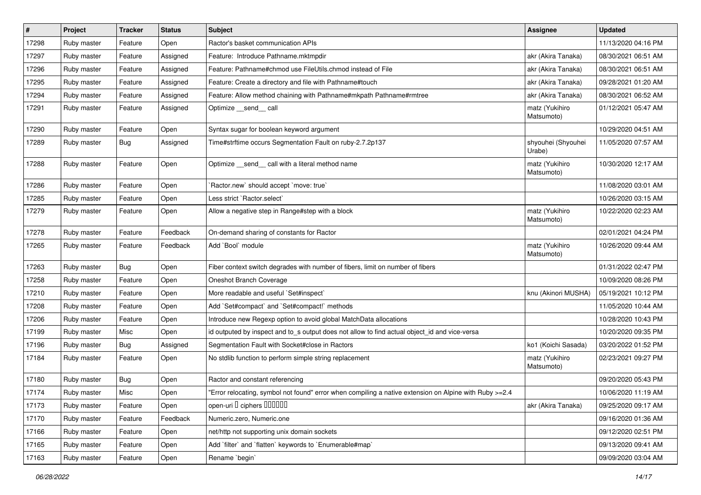| $\vert$ # | Project     | <b>Tracker</b> | <b>Status</b> | <b>Subject</b>                                                                                         | Assignee                     | <b>Updated</b>      |
|-----------|-------------|----------------|---------------|--------------------------------------------------------------------------------------------------------|------------------------------|---------------------|
| 17298     | Ruby master | Feature        | Open          | Ractor's basket communication APIs                                                                     |                              | 11/13/2020 04:16 PM |
| 17297     | Ruby master | Feature        | Assigned      | Feature: Introduce Pathname.mktmpdir                                                                   | akr (Akira Tanaka)           | 08/30/2021 06:51 AM |
| 17296     | Ruby master | Feature        | Assigned      | Feature: Pathname#chmod use FileUtils.chmod instead of File                                            | akr (Akira Tanaka)           | 08/30/2021 06:51 AM |
| 17295     | Ruby master | Feature        | Assigned      | Feature: Create a directory and file with Pathname#touch                                               | akr (Akira Tanaka)           | 09/28/2021 01:20 AM |
| 17294     | Ruby master | Feature        | Assigned      | Feature: Allow method chaining with Pathname#mkpath Pathname#rmtree                                    | akr (Akira Tanaka)           | 08/30/2021 06:52 AM |
| 17291     | Ruby master | Feature        | Assigned      | Optimize __send__ call                                                                                 | matz (Yukihiro<br>Matsumoto) | 01/12/2021 05:47 AM |
| 17290     | Ruby master | Feature        | Open          | Syntax sugar for boolean keyword argument                                                              |                              | 10/29/2020 04:51 AM |
| 17289     | Ruby master | Bug            | Assigned      | Time#strftime occurs Segmentation Fault on ruby-2.7.2p137                                              | shyouhei (Shyouhei<br>Urabe) | 11/05/2020 07:57 AM |
| 17288     | Ruby master | Feature        | Open          | Optimize _send_ call with a literal method name                                                        | matz (Yukihiro<br>Matsumoto) | 10/30/2020 12:17 AM |
| 17286     | Ruby master | Feature        | Open          | Ractor.new' should accept 'move: true'                                                                 |                              | 11/08/2020 03:01 AM |
| 17285     | Ruby master | Feature        | Open          | Less strict `Ractor.select`                                                                            |                              | 10/26/2020 03:15 AM |
| 17279     | Ruby master | Feature        | Open          | Allow a negative step in Range#step with a block                                                       | matz (Yukihiro<br>Matsumoto) | 10/22/2020 02:23 AM |
| 17278     | Ruby master | Feature        | Feedback      | On-demand sharing of constants for Ractor                                                              |                              | 02/01/2021 04:24 PM |
| 17265     | Ruby master | Feature        | Feedback      | Add `Bool` module                                                                                      | matz (Yukihiro<br>Matsumoto) | 10/26/2020 09:44 AM |
| 17263     | Ruby master | Bug            | Open          | Fiber context switch degrades with number of fibers, limit on number of fibers                         |                              | 01/31/2022 02:47 PM |
| 17258     | Ruby master | Feature        | Open          | Oneshot Branch Coverage                                                                                |                              | 10/09/2020 08:26 PM |
| 17210     | Ruby master | Feature        | Open          | More readable and useful `Set#inspect`                                                                 | knu (Akinori MUSHA)          | 05/19/2021 10:12 PM |
| 17208     | Ruby master | Feature        | Open          | Add `Set#compact` and `Set#compact!` methods                                                           |                              | 11/05/2020 10:44 AM |
| 17206     | Ruby master | Feature        | Open          | Introduce new Regexp option to avoid global MatchData allocations                                      |                              | 10/28/2020 10:43 PM |
| 17199     | Ruby master | Misc           | Open          | id outputed by inspect and to s output does not allow to find actual object id and vice-versa          |                              | 10/20/2020 09:35 PM |
| 17196     | Ruby master | <b>Bug</b>     | Assigned      | Segmentation Fault with Socket#close in Ractors                                                        | ko1 (Koichi Sasada)          | 03/20/2022 01:52 PM |
| 17184     | Ruby master | Feature        | Open          | No stdlib function to perform simple string replacement                                                | matz (Yukihiro<br>Matsumoto) | 02/23/2021 09:27 PM |
| 17180     | Ruby master | Bug            | Open          | Ractor and constant referencing                                                                        |                              | 09/20/2020 05:43 PM |
| 17174     | Ruby master | Misc           | Open          | 'Error relocating, symbol not found" error when compiling a native extension on Alpine with Ruby >=2.4 |                              | 10/06/2020 11:19 AM |
| 17173     | Ruby master | Feature        | Open          | open-uri I ciphers IIIIIII                                                                             | akr (Akira Tanaka)           | 09/25/2020 09:17 AM |
| 17170     | Ruby master | Feature        | Feedback      | Numeric.zero, Numeric.one                                                                              |                              | 09/16/2020 01:36 AM |
| 17166     | Ruby master | Feature        | Open          | net/http not supporting unix domain sockets                                                            |                              | 09/12/2020 02:51 PM |
| 17165     | Ruby master | Feature        | Open          | Add `filter` and `flatten` keywords to `Enumerable#map`                                                |                              | 09/13/2020 09:41 AM |
| 17163     | Ruby master | Feature        | Open          | Rename `begin`                                                                                         |                              | 09/09/2020 03:04 AM |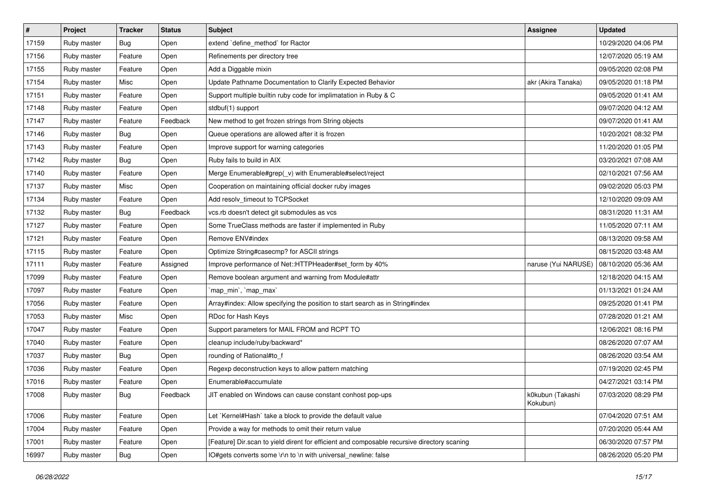| $\sharp$ | Project     | <b>Tracker</b> | <b>Status</b> | <b>Subject</b>                                                                              | Assignee                     | <b>Updated</b>      |
|----------|-------------|----------------|---------------|---------------------------------------------------------------------------------------------|------------------------------|---------------------|
| 17159    | Ruby master | Bug            | Open          | extend `define_method` for Ractor                                                           |                              | 10/29/2020 04:06 PM |
| 17156    | Ruby master | Feature        | Open          | Refinements per directory tree                                                              |                              | 12/07/2020 05:19 AM |
| 17155    | Ruby master | Feature        | Open          | Add a Diggable mixin                                                                        |                              | 09/05/2020 02:08 PM |
| 17154    | Ruby master | Misc           | Open          | Update Pathname Documentation to Clarify Expected Behavior                                  | akr (Akira Tanaka)           | 09/05/2020 01:18 PM |
| 17151    | Ruby master | Feature        | Open          | Support multiple builtin ruby code for implimatation in Ruby & C                            |                              | 09/05/2020 01:41 AM |
| 17148    | Ruby master | Feature        | Open          | stdbuf(1) support                                                                           |                              | 09/07/2020 04:12 AM |
| 17147    | Ruby master | Feature        | Feedback      | New method to get frozen strings from String objects                                        |                              | 09/07/2020 01:41 AM |
| 17146    | Ruby master | <b>Bug</b>     | Open          | Queue operations are allowed after it is frozen                                             |                              | 10/20/2021 08:32 PM |
| 17143    | Ruby master | Feature        | Open          | Improve support for warning categories                                                      |                              | 11/20/2020 01:05 PM |
| 17142    | Ruby master | Bug            | Open          | Ruby fails to build in AIX                                                                  |                              | 03/20/2021 07:08 AM |
| 17140    | Ruby master | Feature        | Open          | Merge Enumerable#grep(_v) with Enumerable#select/reject                                     |                              | 02/10/2021 07:56 AM |
| 17137    | Ruby master | Misc           | Open          | Cooperation on maintaining official docker ruby images                                      |                              | 09/02/2020 05:03 PM |
| 17134    | Ruby master | Feature        | Open          | Add resolv_timeout to TCPSocket                                                             |                              | 12/10/2020 09:09 AM |
| 17132    | Ruby master | <b>Bug</b>     | Feedback      | vcs.rb doesn't detect git submodules as vcs                                                 |                              | 08/31/2020 11:31 AM |
| 17127    | Ruby master | Feature        | Open          | Some TrueClass methods are faster if implemented in Ruby                                    |                              | 11/05/2020 07:11 AM |
| 17121    | Ruby master | Feature        | Open          | Remove ENV#index                                                                            |                              | 08/13/2020 09:58 AM |
| 17115    | Ruby master | Feature        | Open          | Optimize String#casecmp? for ASCII strings                                                  |                              | 08/15/2020 03:48 AM |
| 17111    | Ruby master | Feature        | Assigned      | Improve performance of Net::HTTPHeader#set_form by 40%                                      | naruse (Yui NARUSE)          | 08/10/2020 05:36 AM |
| 17099    | Ruby master | Feature        | Open          | Remove boolean argument and warning from Module#attr                                        |                              | 12/18/2020 04:15 AM |
| 17097    | Ruby master | Feature        | Open          | `map_min`, `map_max`                                                                        |                              | 01/13/2021 01:24 AM |
| 17056    | Ruby master | Feature        | Open          | Array#index: Allow specifying the position to start search as in String#index               |                              | 09/25/2020 01:41 PM |
| 17053    | Ruby master | Misc           | Open          | RDoc for Hash Keys                                                                          |                              | 07/28/2020 01:21 AM |
| 17047    | Ruby master | Feature        | Open          | Support parameters for MAIL FROM and RCPT TO                                                |                              | 12/06/2021 08:16 PM |
| 17040    | Ruby master | Feature        | Open          | cleanup include/ruby/backward*                                                              |                              | 08/26/2020 07:07 AM |
| 17037    | Ruby master | <b>Bug</b>     | Open          | rounding of Rational#to_f                                                                   |                              | 08/26/2020 03:54 AM |
| 17036    | Ruby master | Feature        | Open          | Regexp deconstruction keys to allow pattern matching                                        |                              | 07/19/2020 02:45 PM |
| 17016    | Ruby master | Feature        | Open          | Enumerable#accumulate                                                                       |                              | 04/27/2021 03:14 PM |
| 17008    | Ruby master | <b>Bug</b>     | Feedback      | JIT enabled on Windows can cause constant conhost pop-ups                                   | k0kubun (Takashi<br>Kokubun) | 07/03/2020 08:29 PM |
| 17006    | Ruby master | Feature        | Open          | Let `Kernel#Hash` take a block to provide the default value                                 |                              | 07/04/2020 07:51 AM |
| 17004    | Ruby master | Feature        | Open          | Provide a way for methods to omit their return value                                        |                              | 07/20/2020 05:44 AM |
| 17001    | Ruby master | Feature        | Open          | [Feature] Dir.scan to yield dirent for efficient and composable recursive directory scaning |                              | 06/30/2020 07:57 PM |
| 16997    | Ruby master | Bug            | Open          | IO#gets converts some \r\n to \n with universal newline: false                              |                              | 08/26/2020 05:20 PM |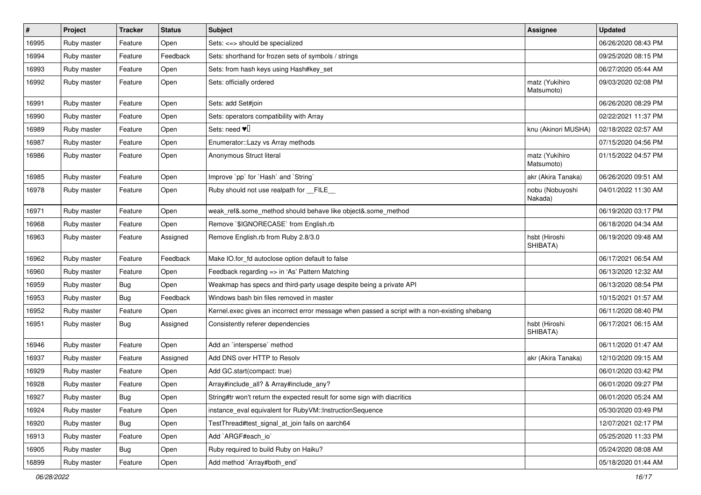| $\sharp$ | Project     | <b>Tracker</b> | <b>Status</b> | <b>Subject</b>                                                                                | <b>Assignee</b>              | <b>Updated</b>      |
|----------|-------------|----------------|---------------|-----------------------------------------------------------------------------------------------|------------------------------|---------------------|
| 16995    | Ruby master | Feature        | Open          | Sets: <=> should be specialized                                                               |                              | 06/26/2020 08:43 PM |
| 16994    | Ruby master | Feature        | Feedback      | Sets: shorthand for frozen sets of symbols / strings                                          |                              | 09/25/2020 08:15 PM |
| 16993    | Ruby master | Feature        | Open          | Sets: from hash keys using Hash#key_set                                                       |                              | 06/27/2020 05:44 AM |
| 16992    | Ruby master | Feature        | Open          | Sets: officially ordered                                                                      | matz (Yukihiro<br>Matsumoto) | 09/03/2020 02:08 PM |
| 16991    | Ruby master | Feature        | Open          | Sets: add Set#join                                                                            |                              | 06/26/2020 08:29 PM |
| 16990    | Ruby master | Feature        | Open          | Sets: operators compatibility with Array                                                      |                              | 02/22/2021 11:37 PM |
| 16989    | Ruby master | Feature        | Open          | Sets: need $\Psi$                                                                             | knu (Akinori MUSHA)          | 02/18/2022 02:57 AM |
| 16987    | Ruby master | Feature        | Open          | Enumerator::Lazy vs Array methods                                                             |                              | 07/15/2020 04:56 PM |
| 16986    | Ruby master | Feature        | Open          | Anonymous Struct literal                                                                      | matz (Yukihiro<br>Matsumoto) | 01/15/2022 04:57 PM |
| 16985    | Ruby master | Feature        | Open          | Improve `pp` for `Hash` and `String`                                                          | akr (Akira Tanaka)           | 06/26/2020 09:51 AM |
| 16978    | Ruby master | Feature        | Open          | Ruby should not use realpath for FILE                                                         | nobu (Nobuyoshi<br>Nakada)   | 04/01/2022 11:30 AM |
| 16971    | Ruby master | Feature        | Open          | weak_ref&.some_method should behave like object&.some_method                                  |                              | 06/19/2020 03:17 PM |
| 16968    | Ruby master | Feature        | Open          | Remove `\$IGNORECASE` from English.rb                                                         |                              | 06/18/2020 04:34 AM |
| 16963    | Ruby master | Feature        | Assigned      | Remove English.rb from Ruby 2.8/3.0                                                           | hsbt (Hiroshi<br>SHIBATA)    | 06/19/2020 09:48 AM |
| 16962    | Ruby master | Feature        | Feedback      | Make IO.for_fd autoclose option default to false                                              |                              | 06/17/2021 06:54 AM |
| 16960    | Ruby master | Feature        | Open          | Feedback regarding => in 'As' Pattern Matching                                                |                              | 06/13/2020 12:32 AM |
| 16959    | Ruby master | <b>Bug</b>     | Open          | Weakmap has specs and third-party usage despite being a private API                           |                              | 06/13/2020 08:54 PM |
| 16953    | Ruby master | <b>Bug</b>     | Feedback      | Windows bash bin files removed in master                                                      |                              | 10/15/2021 01:57 AM |
| 16952    | Ruby master | Feature        | Open          | Kernel.exec gives an incorrect error message when passed a script with a non-existing shebang |                              | 06/11/2020 08:40 PM |
| 16951    | Ruby master | <b>Bug</b>     | Assigned      | Consistently referer dependencies                                                             | hsbt (Hiroshi<br>SHIBATA)    | 06/17/2021 06:15 AM |
| 16946    | Ruby master | Feature        | Open          | Add an `intersperse` method                                                                   |                              | 06/11/2020 01:47 AM |
| 16937    | Ruby master | Feature        | Assigned      | Add DNS over HTTP to Resolv                                                                   | akr (Akira Tanaka)           | 12/10/2020 09:15 AM |
| 16929    | Ruby master | Feature        | Open          | Add GC.start(compact: true)                                                                   |                              | 06/01/2020 03:42 PM |
| 16928    | Ruby master | Feature        | Open          | Array#include_all? & Array#include_any?                                                       |                              | 06/01/2020 09:27 PM |
| 16927    | Ruby master | <b>Bug</b>     | Open          | String#tr won't return the expected result for some sign with diacritics                      |                              | 06/01/2020 05:24 AM |
| 16924    | Ruby master | Feature        | Open          | instance_eval equivalent for RubyVM::InstructionSequence                                      |                              | 05/30/2020 03:49 PM |
| 16920    | Ruby master | Bug            | Open          | TestThread#test_signal_at_join fails on aarch64                                               |                              | 12/07/2021 02:17 PM |
| 16913    | Ruby master | Feature        | Open          | Add `ARGF#each_io`                                                                            |                              | 05/25/2020 11:33 PM |
| 16905    | Ruby master | <b>Bug</b>     | Open          | Ruby required to build Ruby on Haiku?                                                         |                              | 05/24/2020 08:08 AM |
| 16899    | Ruby master | Feature        | Open          | Add method `Array#both_end`                                                                   |                              | 05/18/2020 01:44 AM |